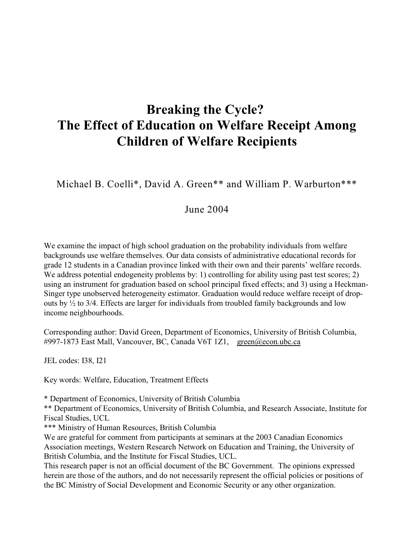# **Breaking the Cycle? The Effect of Education on Welfare Receipt Among Children of Welfare Recipients**

Michael B. Coelli\*, David A. Green\*\* and William P. Warburton\*\*\*

# June 2004

We examine the impact of high school graduation on the probability individuals from welfare backgrounds use welfare themselves. Our data consists of administrative educational records for grade 12 students in a Canadian province linked with their own and their parents' welfare records. We address potential endogeneity problems by: 1) controlling for ability using past test scores; 2) using an instrument for graduation based on school principal fixed effects; and 3) using a Heckman-Singer type unobserved heterogeneity estimator. Graduation would reduce welfare receipt of dropouts by  $\frac{1}{2}$  to 3/4. Effects are larger for individuals from troubled family backgrounds and low income neighbourhoods.

Corresponding author: David Green, Department of Economics, University of British Columbia, #997-1873 East Mall, Vancouver, BC, Canada V6T 1Z1, [green@econ.ubc.ca](mailto:green@econ.ubc.ca)

JEL codes: I38, I21

Key words: Welfare, Education, Treatment Effects

\* Department of Economics, University of British Columbia

\*\* Department of Economics, University of British Columbia, and Research Associate, Institute for Fiscal Studies, UCL

\*\*\* Ministry of Human Resources, British Columbia

We are grateful for comment from participants at seminars at the 2003 Canadian Economics Association meetings, Western Research Network on Education and Training, the University of British Columbia, and the Institute for Fiscal Studies, UCL.

This research paper is not an official document of the BC Government. The opinions expressed herein are those of the authors, and do not necessarily represent the official policies or positions of the BC Ministry of Social Development and Economic Security or any other organization.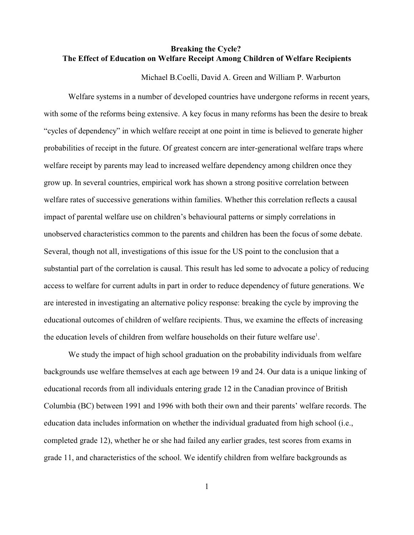## **Breaking the Cycle? The Effect of Education on Welfare Receipt Among Children of Welfare Recipients**

Michael B.Coelli, David A. Green and William P. Warburton

Welfare systems in a number of developed countries have undergone reforms in recent years, with some of the reforms being extensive. A key focus in many reforms has been the desire to break "cycles of dependency" in which welfare receipt at one point in time is believed to generate higher probabilities of receipt in the future. Of greatest concern are inter-generational welfare traps where welfare receipt by parents may lead to increased welfare dependency among children once they grow up. In several countries, empirical work has shown a strong positive correlation between welfare rates of successive generations within families. Whether this correlation reflects a causal impact of parental welfare use on children's behavioural patterns or simply correlations in unobserved characteristics common to the parents and children has been the focus of some debate. Several, though not all, investigations of this issue for the US point to the conclusion that a substantial part of the correlation is causal. This result has led some to advocate a policy of reducing access to welfare for current adults in part in order to reduce dependency of future generations. We are interested in investigating an alternative policy response: breaking the cycle by improving the educational outcomes of children of welfare recipients. Thus, we examine the effects of increasing the education levels of children from welfare households on their future welfare use<sup>1</sup>.

We study the impact of high school graduation on the probability individuals from welfare backgrounds use welfare themselves at each age between 19 and 24. Our data is a unique linking of educational records from all individuals entering grade 12 in the Canadian province of British Columbia (BC) between 1991 and 1996 with both their own and their parents' welfare records. The education data includes information on whether the individual graduated from high school (i.e., completed grade 12), whether he or she had failed any earlier grades, test scores from exams in grade 11, and characteristics of the school. We identify children from welfare backgrounds as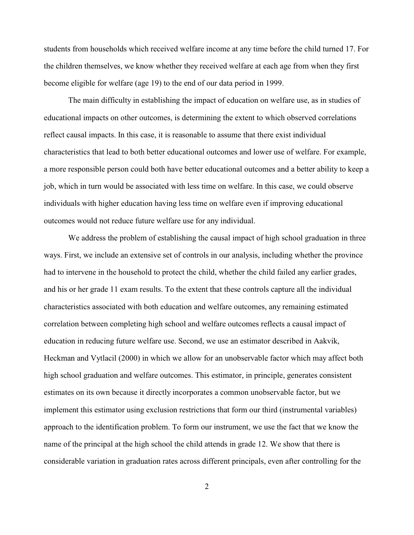students from households which received welfare income at any time before the child turned 17. For the children themselves, we know whether they received welfare at each age from when they first become eligible for welfare (age 19) to the end of our data period in 1999.

The main difficulty in establishing the impact of education on welfare use, as in studies of educational impacts on other outcomes, is determining the extent to which observed correlations reflect causal impacts. In this case, it is reasonable to assume that there exist individual characteristics that lead to both better educational outcomes and lower use of welfare. For example, a more responsible person could both have better educational outcomes and a better ability to keep a job, which in turn would be associated with less time on welfare. In this case, we could observe individuals with higher education having less time on welfare even if improving educational outcomes would not reduce future welfare use for any individual.

We address the problem of establishing the causal impact of high school graduation in three ways. First, we include an extensive set of controls in our analysis, including whether the province had to intervene in the household to protect the child, whether the child failed any earlier grades, and his or her grade 11 exam results. To the extent that these controls capture all the individual characteristics associated with both education and welfare outcomes, any remaining estimated correlation between completing high school and welfare outcomes reflects a causal impact of education in reducing future welfare use. Second, we use an estimator described in Aakvik, Heckman and Vytlacil (2000) in which we allow for an unobservable factor which may affect both high school graduation and welfare outcomes. This estimator, in principle, generates consistent estimates on its own because it directly incorporates a common unobservable factor, but we implement this estimator using exclusion restrictions that form our third (instrumental variables) approach to the identification problem. To form our instrument, we use the fact that we know the name of the principal at the high school the child attends in grade 12. We show that there is considerable variation in graduation rates across different principals, even after controlling for the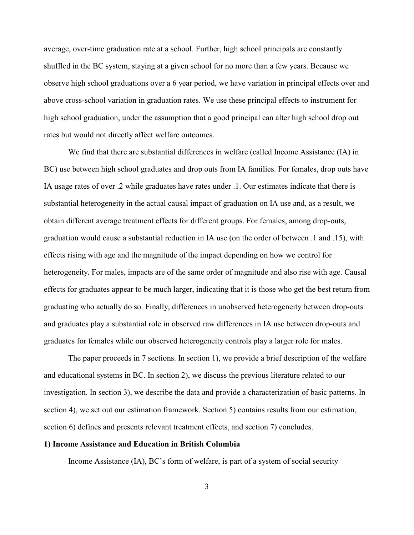average, over-time graduation rate at a school. Further, high school principals are constantly shuffled in the BC system, staying at a given school for no more than a few years. Because we observe high school graduations over a 6 year period, we have variation in principal effects over and above cross-school variation in graduation rates. We use these principal effects to instrument for high school graduation, under the assumption that a good principal can alter high school drop out rates but would not directly affect welfare outcomes.

We find that there are substantial differences in welfare (called Income Assistance (IA) in BC) use between high school graduates and drop outs from IA families. For females, drop outs have IA usage rates of over .2 while graduates have rates under .1. Our estimates indicate that there is substantial heterogeneity in the actual causal impact of graduation on IA use and, as a result, we obtain different average treatment effects for different groups. For females, among drop-outs, graduation would cause a substantial reduction in IA use (on the order of between .1 and .15), with effects rising with age and the magnitude of the impact depending on how we control for heterogeneity. For males, impacts are of the same order of magnitude and also rise with age. Causal effects for graduates appear to be much larger, indicating that it is those who get the best return from graduating who actually do so. Finally, differences in unobserved heterogeneity between drop-outs and graduates play a substantial role in observed raw differences in IA use between drop-outs and graduates for females while our observed heterogeneity controls play a larger role for males.

The paper proceeds in 7 sections. In section 1), we provide a brief description of the welfare and educational systems in BC. In section 2), we discuss the previous literature related to our investigation. In section 3), we describe the data and provide a characterization of basic patterns. In section 4), we set out our estimation framework. Section 5) contains results from our estimation, section 6) defines and presents relevant treatment effects, and section 7) concludes.

#### **1) Income Assistance and Education in British Columbia**

Income Assistance (IA), BC's form of welfare, is part of a system of social security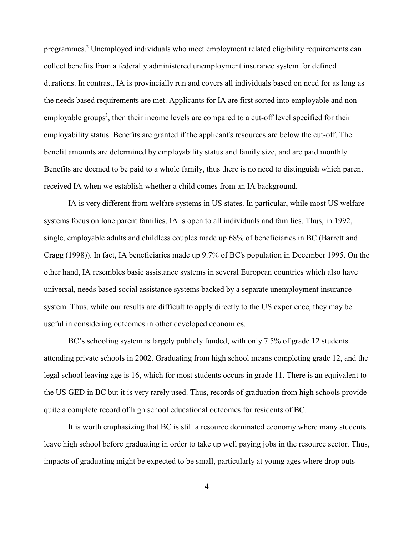programmes.<sup>2</sup> Unemployed individuals who meet employment related eligibility requirements can collect benefits from a federally administered unemployment insurance system for defined durations. In contrast, IA is provincially run and covers all individuals based on need for as long as the needs based requirements are met. Applicants for IA are first sorted into employable and nonemployable groups<sup>3</sup>, then their income levels are compared to a cut-off level specified for their employability status. Benefits are granted if the applicant's resources are below the cut-off. The benefit amounts are determined by employability status and family size, and are paid monthly. Benefits are deemed to be paid to a whole family, thus there is no need to distinguish which parent received IA when we establish whether a child comes from an IA background.

IA is very different from welfare systems in US states. In particular, while most US welfare systems focus on lone parent families, IA is open to all individuals and families. Thus, in 1992, single, employable adults and childless couples made up 68% of beneficiaries in BC (Barrett and Cragg (1998)). In fact, IA beneficiaries made up 9.7% of BC's population in December 1995. On the other hand, IA resembles basic assistance systems in several European countries which also have universal, needs based social assistance systems backed by a separate unemployment insurance system. Thus, while our results are difficult to apply directly to the US experience, they may be useful in considering outcomes in other developed economies.

BC's schooling system is largely publicly funded, with only 7.5% of grade 12 students attending private schools in 2002. Graduating from high school means completing grade 12, and the legal school leaving age is 16, which for most students occurs in grade 11. There is an equivalent to the US GED in BC but it is very rarely used. Thus, records of graduation from high schools provide quite a complete record of high school educational outcomes for residents of BC.

It is worth emphasizing that BC is still a resource dominated economy where many students leave high school before graduating in order to take up well paying jobs in the resource sector. Thus, impacts of graduating might be expected to be small, particularly at young ages where drop outs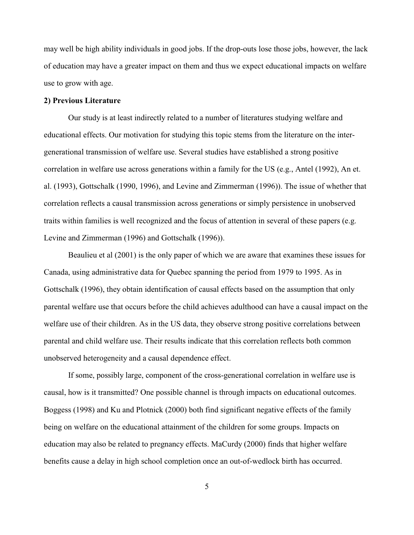may well be high ability individuals in good jobs. If the drop-outs lose those jobs, however, the lack of education may have a greater impact on them and thus we expect educational impacts on welfare use to grow with age.

#### **2) Previous Literature**

Our study is at least indirectly related to a number of literatures studying welfare and educational effects. Our motivation for studying this topic stems from the literature on the intergenerational transmission of welfare use. Several studies have established a strong positive correlation in welfare use across generations within a family for the US (e.g., Antel (1992), An et. al. (1993), Gottschalk (1990, 1996), and Levine and Zimmerman (1996)). The issue of whether that correlation reflects a causal transmission across generations or simply persistence in unobserved traits within families is well recognized and the focus of attention in several of these papers (e.g. Levine and Zimmerman (1996) and Gottschalk (1996)).

Beaulieu et al (2001) is the only paper of which we are aware that examines these issues for Canada, using administrative data for Quebec spanning the period from 1979 to 1995. As in Gottschalk (1996), they obtain identification of causal effects based on the assumption that only parental welfare use that occurs before the child achieves adulthood can have a causal impact on the welfare use of their children. As in the US data, they observe strong positive correlations between parental and child welfare use. Their results indicate that this correlation reflects both common unobserved heterogeneity and a causal dependence effect.

If some, possibly large, component of the cross-generational correlation in welfare use is causal, how is it transmitted? One possible channel is through impacts on educational outcomes. Boggess (1998) and Ku and Plotnick (2000) both find significant negative effects of the family being on welfare on the educational attainment of the children for some groups. Impacts on education may also be related to pregnancy effects. MaCurdy (2000) finds that higher welfare benefits cause a delay in high school completion once an out-of-wedlock birth has occurred.

5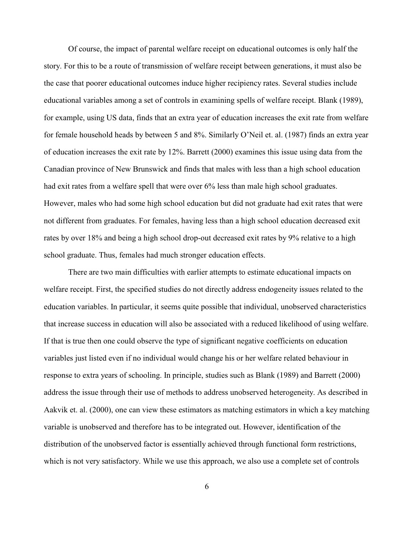Of course, the impact of parental welfare receipt on educational outcomes is only half the story. For this to be a route of transmission of welfare receipt between generations, it must also be the case that poorer educational outcomes induce higher recipiency rates. Several studies include educational variables among a set of controls in examining spells of welfare receipt. Blank (1989), for example, using US data, finds that an extra year of education increases the exit rate from welfare for female household heads by between 5 and 8%. Similarly O'Neil et. al. (1987) finds an extra year of education increases the exit rate by 12%. Barrett (2000) examines this issue using data from the Canadian province of New Brunswick and finds that males with less than a high school education had exit rates from a welfare spell that were over 6% less than male high school graduates. However, males who had some high school education but did not graduate had exit rates that were not different from graduates. For females, having less than a high school education decreased exit rates by over 18% and being a high school drop-out decreased exit rates by 9% relative to a high school graduate. Thus, females had much stronger education effects.

There are two main difficulties with earlier attempts to estimate educational impacts on welfare receipt. First, the specified studies do not directly address endogeneity issues related to the education variables. In particular, it seems quite possible that individual, unobserved characteristics that increase success in education will also be associated with a reduced likelihood of using welfare. If that is true then one could observe the type of significant negative coefficients on education variables just listed even if no individual would change his or her welfare related behaviour in response to extra years of schooling. In principle, studies such as Blank (1989) and Barrett (2000) address the issue through their use of methods to address unobserved heterogeneity. As described in Aakvik et. al. (2000), one can view these estimators as matching estimators in which a key matching variable is unobserved and therefore has to be integrated out. However, identification of the distribution of the unobserved factor is essentially achieved through functional form restrictions, which is not very satisfactory. While we use this approach, we also use a complete set of controls

6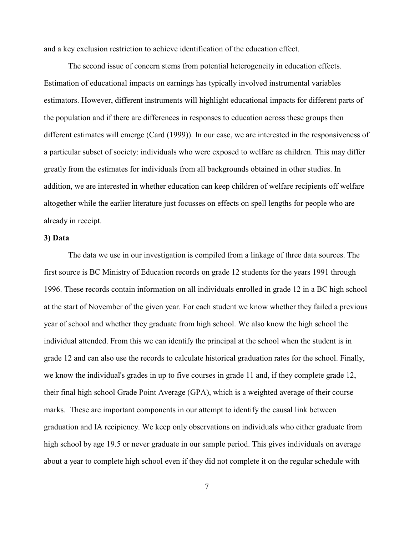and a key exclusion restriction to achieve identification of the education effect.

The second issue of concern stems from potential heterogeneity in education effects. Estimation of educational impacts on earnings has typically involved instrumental variables estimators. However, different instruments will highlight educational impacts for different parts of the population and if there are differences in responses to education across these groups then different estimates will emerge (Card (1999)). In our case, we are interested in the responsiveness of a particular subset of society: individuals who were exposed to welfare as children. This may differ greatly from the estimates for individuals from all backgrounds obtained in other studies. In addition, we are interested in whether education can keep children of welfare recipients off welfare altogether while the earlier literature just focusses on effects on spell lengths for people who are already in receipt.

### **3) Data**

The data we use in our investigation is compiled from a linkage of three data sources. The first source is BC Ministry of Education records on grade 12 students for the years 1991 through 1996. These records contain information on all individuals enrolled in grade 12 in a BC high school at the start of November of the given year. For each student we know whether they failed a previous year of school and whether they graduate from high school. We also know the high school the individual attended. From this we can identify the principal at the school when the student is in grade 12 and can also use the records to calculate historical graduation rates for the school. Finally, we know the individual's grades in up to five courses in grade 11 and, if they complete grade 12, their final high school Grade Point Average (GPA), which is a weighted average of their course marks. These are important components in our attempt to identify the causal link between graduation and IA recipiency. We keep only observations on individuals who either graduate from high school by age 19.5 or never graduate in our sample period. This gives individuals on average about a year to complete high school even if they did not complete it on the regular schedule with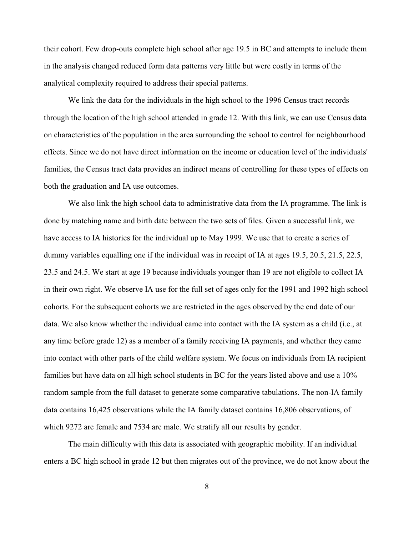their cohort. Few drop-outs complete high school after age 19.5 in BC and attempts to include them in the analysis changed reduced form data patterns very little but were costly in terms of the analytical complexity required to address their special patterns.

We link the data for the individuals in the high school to the 1996 Census tract records through the location of the high school attended in grade 12. With this link, we can use Census data on characteristics of the population in the area surrounding the school to control for neighbourhood effects. Since we do not have direct information on the income or education level of the individuals' families, the Census tract data provides an indirect means of controlling for these types of effects on both the graduation and IA use outcomes.

We also link the high school data to administrative data from the IA programme. The link is done by matching name and birth date between the two sets of files. Given a successful link, we have access to IA histories for the individual up to May 1999. We use that to create a series of dummy variables equalling one if the individual was in receipt of IA at ages 19.5, 20.5, 21.5, 22.5, 23.5 and 24.5. We start at age 19 because individuals younger than 19 are not eligible to collect IA in their own right. We observe IA use for the full set of ages only for the 1991 and 1992 high school cohorts. For the subsequent cohorts we are restricted in the ages observed by the end date of our data. We also know whether the individual came into contact with the IA system as a child (i.e., at any time before grade 12) as a member of a family receiving IA payments, and whether they came into contact with other parts of the child welfare system. We focus on individuals from IA recipient families but have data on all high school students in BC for the years listed above and use a 10% random sample from the full dataset to generate some comparative tabulations. The non-IA family data contains 16,425 observations while the IA family dataset contains 16,806 observations, of which 9272 are female and 7534 are male. We stratify all our results by gender.

The main difficulty with this data is associated with geographic mobility. If an individual enters a BC high school in grade 12 but then migrates out of the province, we do not know about the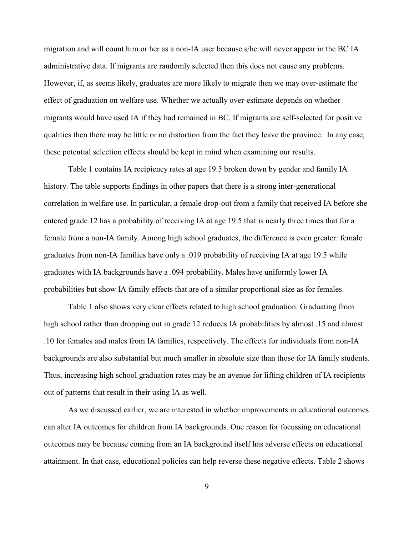migration and will count him or her as a non-IA user because s/he will never appear in the BC IA administrative data. If migrants are randomly selected then this does not cause any problems. However, if, as seems likely, graduates are more likely to migrate then we may over-estimate the effect of graduation on welfare use. Whether we actually over-estimate depends on whether migrants would have used IA if they had remained in BC. If migrants are self-selected for positive qualities then there may be little or no distortion from the fact they leave the province. In any case, these potential selection effects should be kept in mind when examining our results.

Table 1 contains IA recipiency rates at age 19.5 broken down by gender and family IA history. The table supports findings in other papers that there is a strong inter-generational correlation in welfare use. In particular, a female drop-out from a family that received IA before she entered grade 12 has a probability of receiving IA at age 19.5 that is nearly three times that for a female from a non-IA family. Among high school graduates, the difference is even greater: female graduates from non-IA families have only a .019 probability of receiving IA at age 19.5 while graduates with IA backgrounds have a .094 probability. Males have uniformly lower IA probabilities but show IA family effects that are of a similar proportional size as for females.

Table 1 also shows very clear effects related to high school graduation. Graduating from high school rather than dropping out in grade 12 reduces IA probabilities by almost .15 and almost .10 for females and males from IA families, respectively. The effects for individuals from non-IA backgrounds are also substantial but much smaller in absolute size than those for IA family students. Thus, increasing high school graduation rates may be an avenue for lifting children of IA recipients out of patterns that result in their using IA as well.

As we discussed earlier, we are interested in whether improvements in educational outcomes can alter IA outcomes for children from IA backgrounds. One reason for focussing on educational outcomes may be because coming from an IA background itself has adverse effects on educational attainment. In that case, educational policies can help reverse these negative effects. Table 2 shows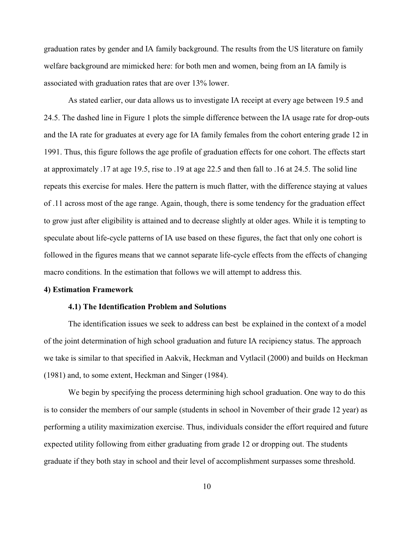graduation rates by gender and IA family background. The results from the US literature on family welfare background are mimicked here: for both men and women, being from an IA family is associated with graduation rates that are over 13% lower.

As stated earlier, our data allows us to investigate IA receipt at every age between 19.5 and 24.5. The dashed line in Figure 1 plots the simple difference between the IA usage rate for drop-outs and the IA rate for graduates at every age for IA family females from the cohort entering grade 12 in 1991. Thus, this figure follows the age profile of graduation effects for one cohort. The effects start at approximately .17 at age 19.5, rise to .19 at age 22.5 and then fall to .16 at 24.5. The solid line repeats this exercise for males. Here the pattern is much flatter, with the difference staying at values of .11 across most of the age range. Again, though, there is some tendency for the graduation effect to grow just after eligibility is attained and to decrease slightly at older ages. While it is tempting to speculate about life-cycle patterns of IA use based on these figures, the fact that only one cohort is followed in the figures means that we cannot separate life-cycle effects from the effects of changing macro conditions. In the estimation that follows we will attempt to address this.

#### **4) Estimation Framework**

#### **4.1) The Identification Problem and Solutions**

The identification issues we seek to address can best be explained in the context of a model of the joint determination of high school graduation and future IA recipiency status. The approach we take is similar to that specified in Aakvik, Heckman and Vytlacil (2000) and builds on Heckman (1981) and, to some extent, Heckman and Singer (1984).

We begin by specifying the process determining high school graduation. One way to do this is to consider the members of our sample (students in school in November of their grade 12 year) as performing a utility maximization exercise. Thus, individuals consider the effort required and future expected utility following from either graduating from grade 12 or dropping out. The students graduate if they both stay in school and their level of accomplishment surpasses some threshold.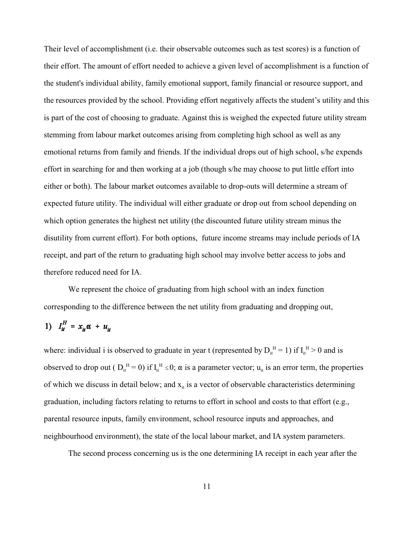Their level of accomplishment (i.e. their observable outcomes such as test scores) is a function of their effort. The amount of effort needed to achieve a given level of accomplishment is a function of the student's individual ability, family emotional support, family financial or resource support, and the resources provided by the school. Providing effort negatively affects the student's utility and this is part of the cost of choosing to graduate. Against this is weighed the expected future utility stream stemming from labour market outcomes arising from completing high school as well as any emotional returns from family and friends. If the individual drops out of high school, s/he expends effort in searching for and then working at a job (though s/he may choose to put little effort into either or both). The labour market outcomes available to drop-outs will determine a stream of expected future utility. The individual will either graduate or drop out from school depending on which option generates the highest net utility (the discounted future utility stream minus the disutility from current effort). For both options, future income streams may include periods of IA receipt, and part of the return to graduating high school may involve better access to jobs and therefore reduced need for IA.

We represent the choice of graduating from high school with an index function corresponding to the difference between the net utility from graduating and dropping out,

1) 
$$
I_{it}^H = x_{it} \alpha + u_{it}
$$

where: individual i is observed to graduate in year t (represented by  $D_{it}^H = 1$ ) if  $I_{it}^H > 0$  and is observed to drop out (  $D_{it}^H = 0$ ) if  $I_{it}^H \le 0$ ;  $\alpha$  is a parameter vector;  $u_{it}$  is an error term, the properties of which we discuss in detail below; and  $x_{it}$  is a vector of observable characteristics determining graduation, including factors relating to returns to effort in school and costs to that effort (e.g., parental resource inputs, family environment, school resource inputs and approaches, and neighbourhood environment), the state of the local labour market, and IA system parameters.

The second process concerning us is the one determining IA receipt in each year after the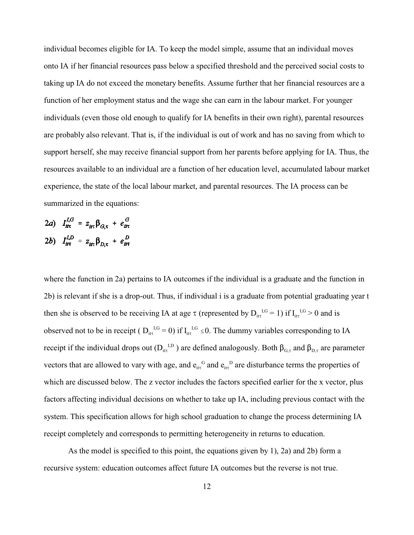individual becomes eligible for IA. To keep the model simple, assume that an individual moves onto IA if her financial resources pass below a specified threshold and the perceived social costs to taking up IA do not exceed the monetary benefits. Assume further that her financial resources are a function of her employment status and the wage she can earn in the labour market. For younger individuals (even those old enough to qualify for IA benefits in their own right), parental resources are probably also relevant. That is, if the individual is out of work and has no saving from which to support herself, she may receive financial support from her parents before applying for IA. Thus, the resources available to an individual are a function of her education level, accumulated labour market experience, the state of the local labour market, and parental resources. The IA process can be summarized in the equations:

$$
2a) \quad I_{it\tau}^{I,G} = z_{it\tau} \beta_{G,\tau} + e_{it\tau}^{G}
$$
\n
$$
2b) \quad I_{it\tau}^{I,D} = z_{it\tau} \beta_{D,\tau} + e_{it\tau}^{D}
$$

where the function in 2a) pertains to IA outcomes if the individual is a graduate and the function in 2b) is relevant if she is a drop-out. Thus, if individual i is a graduate from potential graduating year t then she is observed to be receiving IA at age  $\tau$  (represented by  $D_{it\tau}^{I,G} = 1$ ) if  $I_{it\tau}^{I,G} > 0$  and is observed not to be in receipt ( $D_{\text{it}}^{I,G} = 0$ ) if  $I_{\text{it}}^{I,G} \le 0$ . The dummy variables corresponding to IA receipt if the individual drops out ( $D_{tt}^{I,D}$ ) are defined analogously. Both  $\beta_{G,\tau}$  and  $\beta_{D,\tau}$  are parameter vectors that are allowed to vary with age, and  $e_{it}^G$  and  $e_{it}^D$  are disturbance terms the properties of which are discussed below. The z vector includes the factors specified earlier for the x vector, plus factors affecting individual decisions on whether to take up IA, including previous contact with the system. This specification allows for high school graduation to change the process determining IA receipt completely and corresponds to permitting heterogeneity in returns to education.

As the model is specified to this point, the equations given by 1), 2a) and 2b) form a recursive system: education outcomes affect future IA outcomes but the reverse is not true.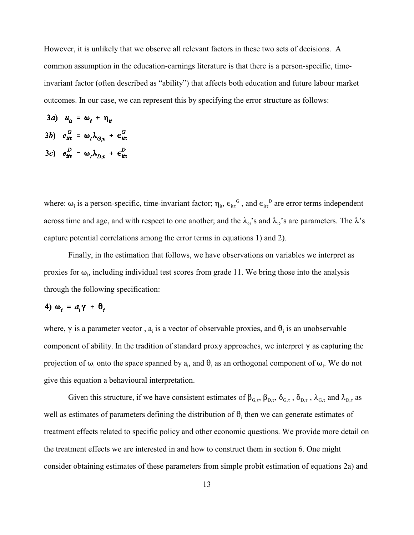However, it is unlikely that we observe all relevant factors in these two sets of decisions. A common assumption in the education-earnings literature is that there is a person-specific, timeinvariant factor (often described as "ability") that affects both education and future labour market outcomes. In our case, we can represent this by specifying the error structure as follows:

3*a*) 
$$
u_{it} = \omega_i + \eta_{it}
$$
  
\n3*b*)  $e_{it\tau}^G = \omega_i \lambda_{G,\tau} + \epsilon_{it\tau}^G$   
\n3*c*)  $e_{it\tau}^D = \omega_i \lambda_{D,\tau} + \epsilon_{it\tau}^D$ 

where:  $\omega_i$  is a person-specific, time-invariant factor;  $\eta_{i,t}$ ,  $\epsilon_{itt}$ <sup>G</sup>, and  $\epsilon_{itt}$ <sup>D</sup> are error terms independent across time and age, and with respect to one another; and the  $\lambda_G$ 's and  $\lambda_D$ 's are parameters. The  $\lambda$ 's capture potential correlations among the error terms in equations 1) and 2).

Finally, in the estimation that follows, we have observations on variables we interpret as proxies for  $\omega_i$ , including individual test scores from grade 11. We bring those into the analysis through the following specification:

# 4) ω<sub>i</sub> =  $a_i$ γ + θ<sub>i</sub>

where,  $\gamma$  is a parameter vector, a is a vector of observable proxies, and  $\theta_i$  is an unobservable component of ability. In the tradition of standard proxy approaches, we interpret  $\gamma$  as capturing the projection of  $\omega_i$  onto the space spanned by  $a_i$ , and  $\theta_i$  as an orthogonal component of  $\omega_i$ . We do not give this equation a behavioural interpretation.

Given this structure, if we have consistent estimates of  $\beta_{G,\tau}$ ,  $\beta_{D,\tau}$ ,  $\delta_{G,\tau}$ ,  $\delta_{D,\tau}$ ,  $\lambda_{G,\tau}$  and  $\lambda_{D,\tau}$  as well as estimates of parameters defining the distribution of  $\theta_i$  then we can generate estimates of treatment effects related to specific policy and other economic questions. We provide more detail on the treatment effects we are interested in and how to construct them in section 6. One might consider obtaining estimates of these parameters from simple probit estimation of equations 2a) and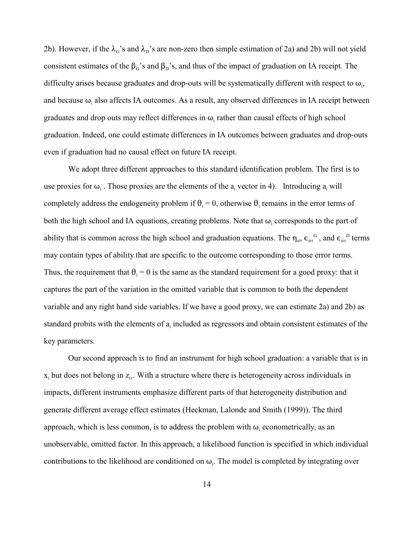2b). However, if the  $\lambda_G$ 's and  $\lambda_D$ 's are non-zero then simple estimation of 2a) and 2b) will not yield consistent estimates of the  $\beta$ <sup>3</sup> s and  $\beta$ <sup>3</sup> s, and thus of the impact of graduation on IA receipt. The difficulty arises because graduates and drop-outs will be systematically different with respect to  $\omega_i$ , and because  $\omega_i$  also affects IA outcomes. As a result, any observed differences in IA receipt between graduates and drop outs may reflect differences in  $\omega$ <sub>i</sub> rather than causal effects of high school graduation. Indeed, one could estimate differences in IA outcomes between graduates and drop-outs even if graduation had no causal effect on future IA receipt.

We adopt three different approaches to this standard identification problem. The first is to use proxies for  $\omega_i$ . Those proxies are the elements of the  $a_i$  vector in 4). Introducing  $a_i$  will completely address the endogeneity problem if  $\theta_i = 0$ , otherwise  $\theta_i$  remains in the error terms of both the high school and IA equations, creating problems. Note that  $\omega_i$  corresponds to the part of ability that is common across the high school and graduation equations. The  $\eta_{\rm it}$ ,  $\epsilon_{\rm it}$ ,  $^{G}$ , and  $\epsilon_{\rm it}$ ,  $^{D}$  terms may contain types of ability that are specific to the outcome corresponding to those error terms. Thus, the requirement that  $\theta_i = 0$  is the same as the standard requirement for a good proxy: that it captures the part of the variation in the omitted variable that is common to both the dependent variable and any right hand side variables. If we have a good proxy, we can estimate 2a) and 2b) as standard probits with the elements of a included as regressors and obtain consistent estimates of the key parameters.

Our second approach is to find an instrument for high school graduation: a variable that is in  $x_i$  but does not belong in  $z_{i\tau}$ . With a structure where there is heterogeneity across individuals in impacts, different instruments emphasize different parts of that heterogeneity distribution and generate different average effect estimates (Heckman, Lalonde and Smith (1999)). The third approach, which is less common, is to address the problem with  $\omega_i$  econometrically, as an unobservable, omitted factor. In this approach, a likelihood function is specified in which individual contributions to the likelihood are conditioned on  $\omega_i$ . The model is completed by integrating over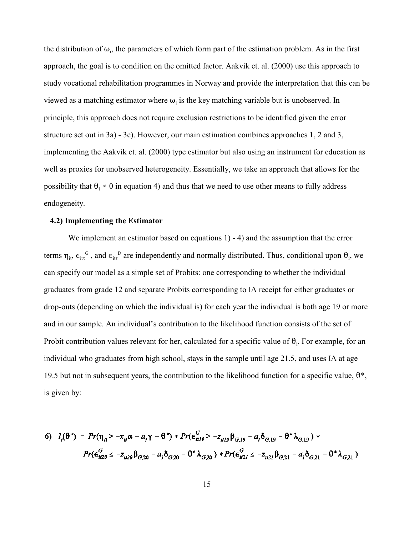the distribution of  $\omega_i$ , the parameters of which form part of the estimation problem. As in the first approach, the goal is to condition on the omitted factor. Aakvik et. al. (2000) use this approach to study vocational rehabilitation programmes in Norway and provide the interpretation that this can be viewed as a matching estimator where  $\omega_i$  is the key matching variable but is unobserved. In principle, this approach does not require exclusion restrictions to be identified given the error structure set out in 3a) - 3c). However, our main estimation combines approaches 1, 2 and 3, implementing the Aakvik et. al. (2000) type estimator but also using an instrument for education as well as proxies for unobserved heterogeneity. Essentially, we take an approach that allows for the possibility that  $\theta_i \neq 0$  in equation 4) and thus that we need to use other means to fully address endogeneity.

#### **4.2) Implementing the Estimator**

We implement an estimator based on equations 1) - 4) and the assumption that the error terms  $\eta_{it}$ ,  $\epsilon_{it}^{G}$ , and  $\epsilon_{it}^{D}$  are independently and normally distributed. Thus, conditional upon  $\theta_i$ , we can specify our model as a simple set of Probits: one corresponding to whether the individual graduates from grade 12 and separate Probits corresponding to IA receipt for either graduates or drop-outs (depending on which the individual is) for each year the individual is both age 19 or more and in our sample. An individual's contribution to the likelihood function consists of the set of Probit contribution values relevant for her, calculated for a specific value of  $\theta_i$ . For example, for an individual who graduates from high school, stays in the sample until age 21.5, and uses IA at age 19.5 but not in subsequent years, the contribution to the likelihood function for a specific value,  $\theta^*$ , is given by:

6) 
$$
l_i(\theta^*) = Pr(\eta_{it} > -x_{it}\alpha - a_i\gamma - \theta^*) * Pr(\epsilon_{itl9}^G > -z_{itl9}\beta_{G,19} - a_i\delta_{G,19} - \theta^*\lambda_{G,19}) *
$$
  
\n $Pr(\epsilon_{it20}^G \leq -z_{it20}\beta_{G,20} - a_i\delta_{G,20} - \theta^*\lambda_{G,20}) * Pr(\epsilon_{it21}^G \leq -z_{it21}\beta_{G,21} - a_i\delta_{G,21} - \theta^*\lambda_{G,21})$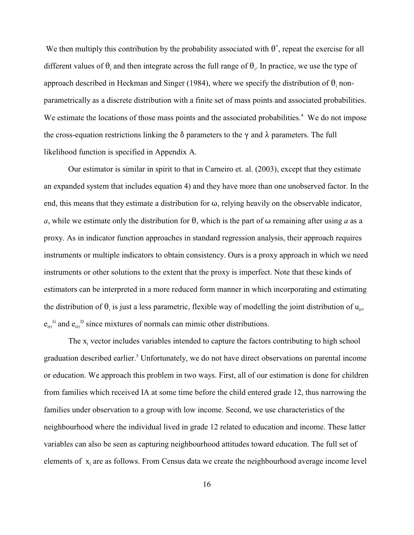We then multiply this contribution by the probability associated with  $\theta^*$ , repeat the exercise for all different values of  $\theta_i$  and then integrate across the full range of  $\theta_i$ . In practice, we use the type of approach described in Heckman and Singer (1984), where we specify the distribution of  $\theta_i$  nonparametrically as a discrete distribution with a finite set of mass points and associated probabilities. We estimate the locations of those mass points and the associated probabilities.<sup>4</sup> We do not impose the cross-equation restrictions linking the  $\delta$  parameters to the  $\gamma$  and  $\lambda$  parameters. The full likelihood function is specified in Appendix A.

Our estimator is similar in spirit to that in Carneiro et. al. (2003), except that they estimate an expanded system that includes equation 4) and they have more than one unobserved factor. In the end, this means that they estimate a distribution for  $\omega$ , relying heavily on the observable indicator, *a*, while we estimate only the distribution for  $\theta$ , which is the part of  $\omega$  remaining after using *a* as a proxy. As in indicator function approaches in standard regression analysis, their approach requires instruments or multiple indicators to obtain consistency. Ours is a proxy approach in which we need instruments or other solutions to the extent that the proxy is imperfect. Note that these kinds of estimators can be interpreted in a more reduced form manner in which incorporating and estimating the distribution of  $\theta_i$  is just a less parametric, flexible way of modelling the joint distribution of  $u_{i}$ ,  $e_{it}^G$  and  $e_{it}^D$  since mixtures of normals can mimic other distributions.

The  $x_i$  vector includes variables intended to capture the factors contributing to high school graduation described earlier.<sup>5</sup> Unfortunately, we do not have direct observations on parental income or education. We approach this problem in two ways. First, all of our estimation is done for children from families which received IA at some time before the child entered grade 12, thus narrowing the families under observation to a group with low income. Second, we use characteristics of the neighbourhood where the individual lived in grade 12 related to education and income. These latter variables can also be seen as capturing neighbourhood attitudes toward education. The full set of elements of  $x_i$  are as follows. From Census data we create the neighbourhood average income level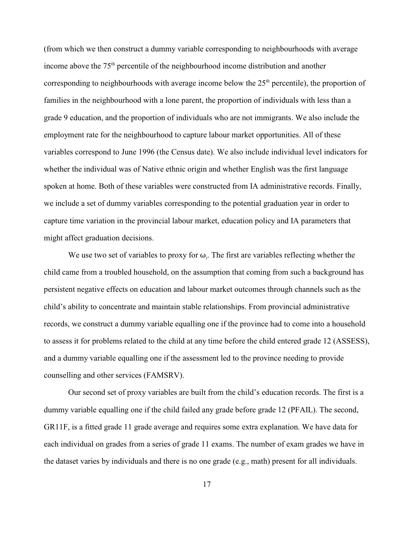(from which we then construct a dummy variable corresponding to neighbourhoods with average income above the  $75<sup>th</sup>$  percentile of the neighbourhood income distribution and another corresponding to neighbourhoods with average income below the  $25<sup>th</sup>$  percentile), the proportion of families in the neighbourhood with a lone parent, the proportion of individuals with less than a grade 9 education, and the proportion of individuals who are not immigrants. We also include the employment rate for the neighbourhood to capture labour market opportunities. All of these variables correspond to June 1996 (the Census date). We also include individual level indicators for whether the individual was of Native ethnic origin and whether English was the first language spoken at home. Both of these variables were constructed from IA administrative records. Finally, we include a set of dummy variables corresponding to the potential graduation year in order to capture time variation in the provincial labour market, education policy and IA parameters that might affect graduation decisions.

We use two set of variables to proxy for  $\omega_i$ . The first are variables reflecting whether the child came from a troubled household, on the assumption that coming from such a background has persistent negative effects on education and labour market outcomes through channels such as the child's ability to concentrate and maintain stable relationships. From provincial administrative records, we construct a dummy variable equalling one if the province had to come into a household to assess it for problems related to the child at any time before the child entered grade 12 (ASSESS), and a dummy variable equalling one if the assessment led to the province needing to provide counselling and other services (FAMSRV).

Our second set of proxy variables are built from the child's education records. The first is a dummy variable equalling one if the child failed any grade before grade 12 (PFAIL). The second, GR11F, is a fitted grade 11 grade average and requires some extra explanation. We have data for each individual on grades from a series of grade 11 exams. The number of exam grades we have in the dataset varies by individuals and there is no one grade (e.g., math) present for all individuals.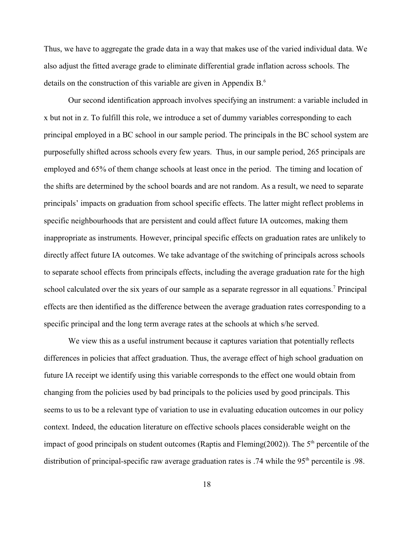Thus, we have to aggregate the grade data in a way that makes use of the varied individual data. We also adjust the fitted average grade to eliminate differential grade inflation across schools. The details on the construction of this variable are given in Appendix  $B<sup>6</sup>$ .

Our second identification approach involves specifying an instrument: a variable included in x but not in z. To fulfill this role, we introduce a set of dummy variables corresponding to each principal employed in a BC school in our sample period. The principals in the BC school system are purposefully shifted across schools every few years. Thus, in our sample period, 265 principals are employed and 65% of them change schools at least once in the period. The timing and location of the shifts are determined by the school boards and are not random. As a result, we need to separate principals' impacts on graduation from school specific effects. The latter might reflect problems in specific neighbourhoods that are persistent and could affect future IA outcomes, making them inappropriate as instruments. However, principal specific effects on graduation rates are unlikely to directly affect future IA outcomes. We take advantage of the switching of principals across schools to separate school effects from principals effects, including the average graduation rate for the high school calculated over the six years of our sample as a separate regressor in all equations.<sup>7</sup> Principal effects are then identified as the difference between the average graduation rates corresponding to a specific principal and the long term average rates at the schools at which s/he served.

We view this as a useful instrument because it captures variation that potentially reflects differences in policies that affect graduation. Thus, the average effect of high school graduation on future IA receipt we identify using this variable corresponds to the effect one would obtain from changing from the policies used by bad principals to the policies used by good principals. This seems to us to be a relevant type of variation to use in evaluating education outcomes in our policy context. Indeed, the education literature on effective schools places considerable weight on the impact of good principals on student outcomes (Raptis and Fleming(2002)). The  $5<sup>th</sup>$  percentile of the distribution of principal-specific raw average graduation rates is .74 while the  $95<sup>th</sup>$  percentile is .98.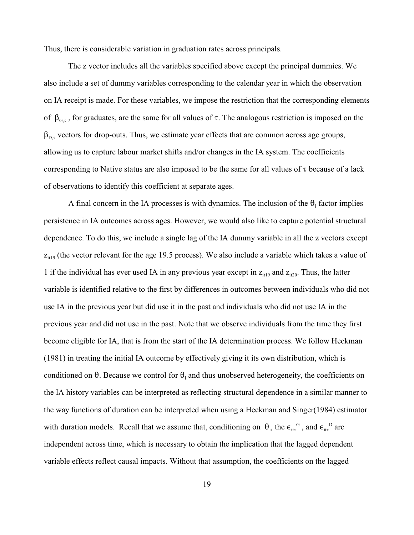Thus, there is considerable variation in graduation rates across principals.

The z vector includes all the variables specified above except the principal dummies. We also include a set of dummy variables corresponding to the calendar year in which the observation on IA receipt is made. For these variables, we impose the restriction that the corresponding elements of  $\beta_{G,\tau}$ , for graduates, are the same for all values of  $\tau$ . The analogous restriction is imposed on the  $\beta_{D,\tau}$  vectors for drop-outs. Thus, we estimate year effects that are common across age groups, allowing us to capture labour market shifts and/or changes in the IA system. The coefficients corresponding to Native status are also imposed to be the same for all values of  $\tau$  because of a lack of observations to identify this coefficient at separate ages.

A final concern in the IA processes is with dynamics. The inclusion of the  $\theta_i$  factor implies persistence in IA outcomes across ages. However, we would also like to capture potential structural dependence. To do this, we include a single lag of the IA dummy variable in all the z vectors except  $z_{it19}$  (the vector relevant for the age 19.5 process). We also include a variable which takes a value of 1 if the individual has ever used IA in any previous year except in  $z_{it19}$  and  $z_{it20}$ . Thus, the latter variable is identified relative to the first by differences in outcomes between individuals who did not use IA in the previous year but did use it in the past and individuals who did not use IA in the previous year and did not use in the past. Note that we observe individuals from the time they first become eligible for IA, that is from the start of the IA determination process. We follow Heckman (1981) in treating the initial IA outcome by effectively giving it its own distribution, which is conditioned on  $\theta$ . Because we control for  $\theta_i$  and thus unobserved heterogeneity, the coefficients on the IA history variables can be interpreted as reflecting structural dependence in a similar manner to the way functions of duration can be interpreted when using a Heckman and Singer(1984) estimator with duration models. Recall that we assume that, conditioning on  $\theta_i$ , the  $\epsilon_{i\tau}^G$ , and  $\epsilon_{i\tau}^G$  are independent across time, which is necessary to obtain the implication that the lagged dependent variable effects reflect causal impacts. Without that assumption, the coefficients on the lagged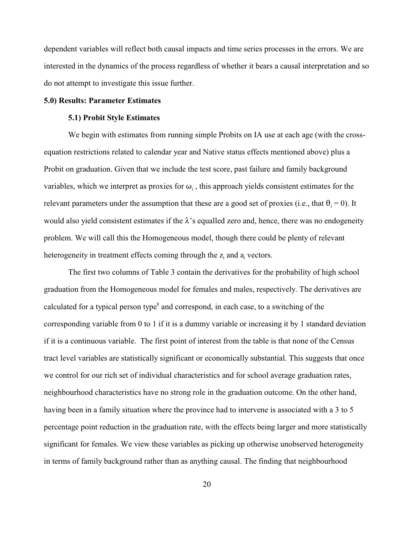dependent variables will reflect both causal impacts and time series processes in the errors. We are interested in the dynamics of the process regardless of whether it bears a causal interpretation and so do not attempt to investigate this issue further.

#### **5.0) Results: Parameter Estimates**

#### **5.1) Probit Style Estimates**

We begin with estimates from running simple Probits on IA use at each age (with the crossequation restrictions related to calendar year and Native status effects mentioned above) plus a Probit on graduation. Given that we include the test score, past failure and family background variables, which we interpret as proxies for  $\omega_i$ , this approach yields consistent estimates for the relevant parameters under the assumption that these are a good set of proxies (i.e., that  $\theta_i = 0$ ). It would also yield consistent estimates if the  $\lambda$ 's equalled zero and, hence, there was no endogeneity problem. We will call this the Homogeneous model, though there could be plenty of relevant heterogeneity in treatment effects coming through the  $z_i$  and  $a_i$  vectors.

The first two columns of Table 3 contain the derivatives for the probability of high school graduation from the Homogeneous model for females and males, respectively. The derivatives are calculated for a typical person type<sup>8</sup> and correspond, in each case, to a switching of the corresponding variable from 0 to 1 if it is a dummy variable or increasing it by 1 standard deviation if it is a continuous variable. The first point of interest from the table is that none of the Census tract level variables are statistically significant or economically substantial. This suggests that once we control for our rich set of individual characteristics and for school average graduation rates, neighbourhood characteristics have no strong role in the graduation outcome. On the other hand, having been in a family situation where the province had to intervene is associated with a 3 to 5 percentage point reduction in the graduation rate, with the effects being larger and more statistically significant for females. We view these variables as picking up otherwise unobserved heterogeneity in terms of family background rather than as anything causal. The finding that neighbourhood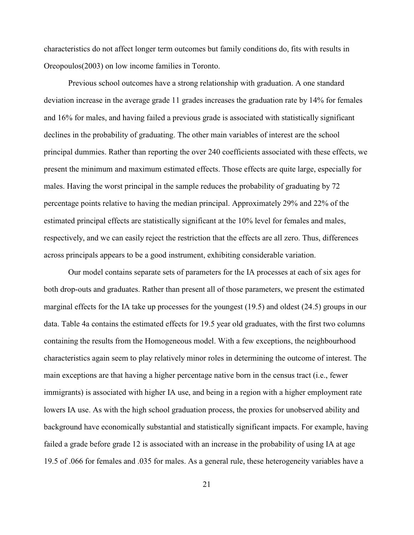characteristics do not affect longer term outcomes but family conditions do, fits with results in Oreopoulos(2003) on low income families in Toronto.

Previous school outcomes have a strong relationship with graduation. A one standard deviation increase in the average grade 11 grades increases the graduation rate by 14% for females and 16% for males, and having failed a previous grade is associated with statistically significant declines in the probability of graduating. The other main variables of interest are the school principal dummies. Rather than reporting the over 240 coefficients associated with these effects, we present the minimum and maximum estimated effects. Those effects are quite large, especially for males. Having the worst principal in the sample reduces the probability of graduating by 72 percentage points relative to having the median principal. Approximately 29% and 22% of the estimated principal effects are statistically significant at the 10% level for females and males, respectively, and we can easily reject the restriction that the effects are all zero. Thus, differences across principals appears to be a good instrument, exhibiting considerable variation.

Our model contains separate sets of parameters for the IA processes at each of six ages for both drop-outs and graduates. Rather than present all of those parameters, we present the estimated marginal effects for the IA take up processes for the youngest (19.5) and oldest (24.5) groups in our data. Table 4a contains the estimated effects for 19.5 year old graduates, with the first two columns containing the results from the Homogeneous model. With a few exceptions, the neighbourhood characteristics again seem to play relatively minor roles in determining the outcome of interest. The main exceptions are that having a higher percentage native born in the census tract (i.e., fewer immigrants) is associated with higher IA use, and being in a region with a higher employment rate lowers IA use. As with the high school graduation process, the proxies for unobserved ability and background have economically substantial and statistically significant impacts. For example, having failed a grade before grade 12 is associated with an increase in the probability of using IA at age 19.5 of .066 for females and .035 for males. As a general rule, these heterogeneity variables have a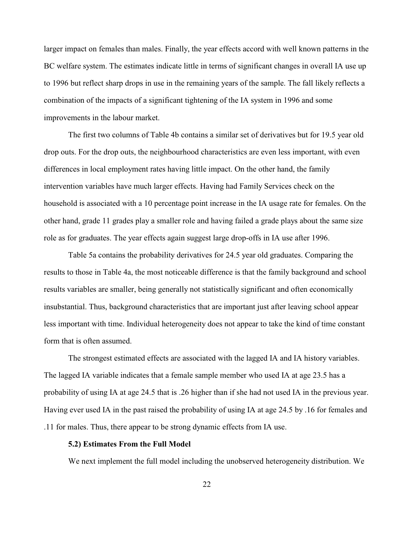larger impact on females than males. Finally, the year effects accord with well known patterns in the BC welfare system. The estimates indicate little in terms of significant changes in overall IA use up to 1996 but reflect sharp drops in use in the remaining years of the sample. The fall likely reflects a combination of the impacts of a significant tightening of the IA system in 1996 and some improvements in the labour market.

The first two columns of Table 4b contains a similar set of derivatives but for 19.5 year old drop outs. For the drop outs, the neighbourhood characteristics are even less important, with even differences in local employment rates having little impact. On the other hand, the family intervention variables have much larger effects. Having had Family Services check on the household is associated with a 10 percentage point increase in the IA usage rate for females. On the other hand, grade 11 grades play a smaller role and having failed a grade plays about the same size role as for graduates. The year effects again suggest large drop-offs in IA use after 1996.

Table 5a contains the probability derivatives for 24.5 year old graduates. Comparing the results to those in Table 4a, the most noticeable difference is that the family background and school results variables are smaller, being generally not statistically significant and often economically insubstantial. Thus, background characteristics that are important just after leaving school appear less important with time. Individual heterogeneity does not appear to take the kind of time constant form that is often assumed.

The strongest estimated effects are associated with the lagged IA and IA history variables. The lagged IA variable indicates that a female sample member who used IA at age 23.5 has a probability of using IA at age 24.5 that is .26 higher than if she had not used IA in the previous year. Having ever used IA in the past raised the probability of using IA at age 24.5 by .16 for females and .11 for males. Thus, there appear to be strong dynamic effects from IA use.

#### **5.2) Estimates From the Full Model**

We next implement the full model including the unobserved heterogeneity distribution. We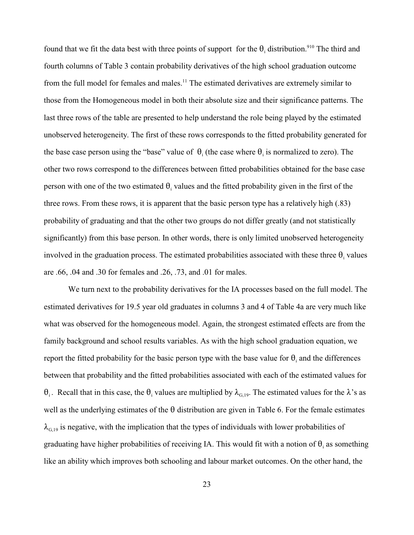found that we fit the data best with three points of support for the  $\theta_i$  distribution.<sup>910</sup> The third and fourth columns of Table 3 contain probability derivatives of the high school graduation outcome from the full model for females and males.<sup>11</sup> The estimated derivatives are extremely similar to those from the Homogeneous model in both their absolute size and their significance patterns. The last three rows of the table are presented to help understand the role being played by the estimated unobserved heterogeneity. The first of these rows corresponds to the fitted probability generated for the base case person using the "base" value of  $\theta_i$  (the case where  $\theta_i$  is normalized to zero). The other two rows correspond to the differences between fitted probabilities obtained for the base case person with one of the two estimated  $\theta_i$  values and the fitted probability given in the first of the three rows. From these rows, it is apparent that the basic person type has a relatively high (.83) probability of graduating and that the other two groups do not differ greatly (and not statistically significantly) from this base person. In other words, there is only limited unobserved heterogeneity involved in the graduation process. The estimated probabilities associated with these three  $\theta_i$  values are .66, .04 and .30 for females and .26, .73, and .01 for males.

We turn next to the probability derivatives for the IA processes based on the full model. The estimated derivatives for 19.5 year old graduates in columns 3 and 4 of Table 4a are very much like what was observed for the homogeneous model. Again, the strongest estimated effects are from the family background and school results variables. As with the high school graduation equation, we report the fitted probability for the basic person type with the base value for  $\theta_i$  and the differences between that probability and the fitted probabilities associated with each of the estimated values for  $\theta_i$ . Recall that in this case, the  $\theta_i$  values are multiplied by  $\lambda_{G,19}$ . The estimated values for the  $\lambda$ 's as well as the underlying estimates of the  $\theta$  distribution are given in Table 6. For the female estimates  $\lambda_{G,19}$  is negative, with the implication that the types of individuals with lower probabilities of graduating have higher probabilities of receiving IA. This would fit with a notion of  $\theta_i$  as something like an ability which improves both schooling and labour market outcomes. On the other hand, the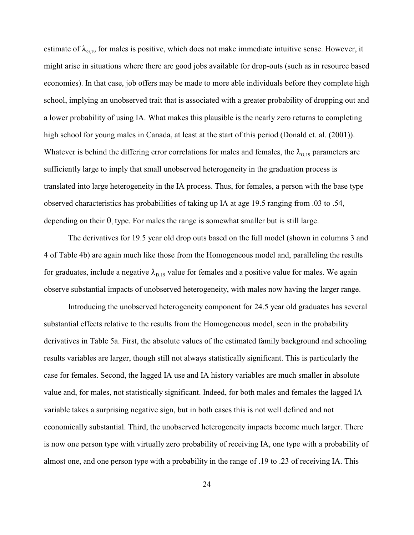estimate of  $\lambda_{G,19}$  for males is positive, which does not make immediate intuitive sense. However, it might arise in situations where there are good jobs available for drop-outs (such as in resource based economies). In that case, job offers may be made to more able individuals before they complete high school, implying an unobserved trait that is associated with a greater probability of dropping out and a lower probability of using IA. What makes this plausible is the nearly zero returns to completing high school for young males in Canada, at least at the start of this period (Donald et. al. (2001)). Whatever is behind the differing error correlations for males and females, the  $\lambda_{0.19}$  parameters are sufficiently large to imply that small unobserved heterogeneity in the graduation process is translated into large heterogeneity in the IA process. Thus, for females, a person with the base type observed characteristics has probabilities of taking up IA at age 19.5 ranging from .03 to .54, depending on their  $\theta_i$  type. For males the range is somewhat smaller but is still large.

The derivatives for 19.5 year old drop outs based on the full model (shown in columns 3 and 4 of Table 4b) are again much like those from the Homogeneous model and, paralleling the results for graduates, include a negative  $\lambda_{\text{D,19}}$  value for females and a positive value for males. We again observe substantial impacts of unobserved heterogeneity, with males now having the larger range.

Introducing the unobserved heterogeneity component for 24.5 year old graduates has several substantial effects relative to the results from the Homogeneous model, seen in the probability derivatives in Table 5a. First, the absolute values of the estimated family background and schooling results variables are larger, though still not always statistically significant. This is particularly the case for females. Second, the lagged IA use and IA history variables are much smaller in absolute value and, for males, not statistically significant. Indeed, for both males and females the lagged IA variable takes a surprising negative sign, but in both cases this is not well defined and not economically substantial. Third, the unobserved heterogeneity impacts become much larger. There is now one person type with virtually zero probability of receiving IA, one type with a probability of almost one, and one person type with a probability in the range of .19 to .23 of receiving IA. This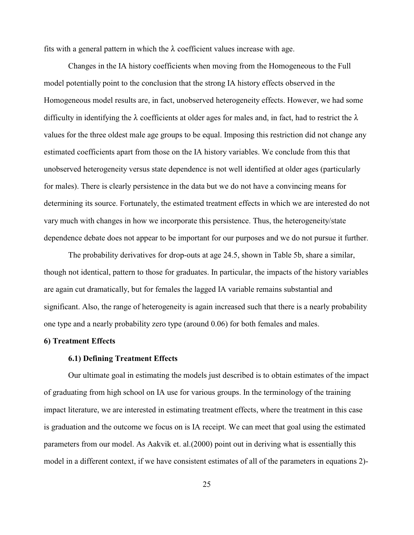fits with a general pattern in which the  $\lambda$  coefficient values increase with age.

Changes in the IA history coefficients when moving from the Homogeneous to the Full model potentially point to the conclusion that the strong IA history effects observed in the Homogeneous model results are, in fact, unobserved heterogeneity effects. However, we had some difficulty in identifying the  $\lambda$  coefficients at older ages for males and, in fact, had to restrict the  $\lambda$ values for the three oldest male age groups to be equal. Imposing this restriction did not change any estimated coefficients apart from those on the IA history variables. We conclude from this that unobserved heterogeneity versus state dependence is not well identified at older ages (particularly for males). There is clearly persistence in the data but we do not have a convincing means for determining its source. Fortunately, the estimated treatment effects in which we are interested do not vary much with changes in how we incorporate this persistence. Thus, the heterogeneity/state dependence debate does not appear to be important for our purposes and we do not pursue it further.

The probability derivatives for drop-outs at age 24.5, shown in Table 5b, share a similar, though not identical, pattern to those for graduates. In particular, the impacts of the history variables are again cut dramatically, but for females the lagged IA variable remains substantial and significant. Also, the range of heterogeneity is again increased such that there is a nearly probability one type and a nearly probability zero type (around 0.06) for both females and males.

#### **6) Treatment Effects**

#### **6.1) Defining Treatment Effects**

Our ultimate goal in estimating the models just described is to obtain estimates of the impact of graduating from high school on IA use for various groups. In the terminology of the training impact literature, we are interested in estimating treatment effects, where the treatment in this case is graduation and the outcome we focus on is IA receipt. We can meet that goal using the estimated parameters from our model. As Aakvik et. al.(2000) point out in deriving what is essentially this model in a different context, if we have consistent estimates of all of the parameters in equations 2)-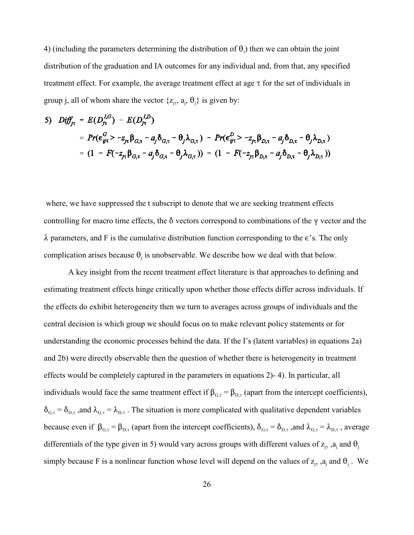4) (including the parameters determining the distribution of  $\theta_i$ ) then we can obtain the joint distribution of the graduation and IA outcomes for any individual and, from that, any specified treatment effect. For example, the average treatment effect at age  $\tau$  for the set of individuals in group j, all of whom share the vector  $\{z_{i\tau}, a_{i}, \theta_{i}\}\$ is given by:

5) 
$$
Diff_{j\tau} = E(D_{j\tau}^{l,G}) - E(D_{j\tau}^{l,D})
$$
  
\t\t\t $= Pr(\epsilon_{ij\tau}^{G} > -z_{j\tau} \beta_{G,\tau} - a_{j} \delta_{G,\tau} - \theta_{j} \lambda_{G,\tau}) - Pr(\epsilon_{ij\tau}^{D} > -z_{j\tau} \beta_{D,\tau} - a_{j} \delta_{D,\tau} - \theta_{j} \lambda_{D,\tau})$   
\t\t\t $= (1 - F(-z_{j\tau} \beta_{G,\tau} - a_{j} \delta_{G,\tau} - \theta_{j} \lambda_{G,\tau})) - (1 - F(-z_{j\tau} \beta_{D,\tau} - a_{j} \delta_{D,\tau} - \theta_{j} \lambda_{D,\tau}))$ 

where, we have suppressed the t subscript to denote that we are seeking treatment effects controlling for macro time effects, the  $\delta$  vectors correspond to combinations of the  $\gamma$  vector and the  $\lambda$  parameters, and F is the cumulative distribution function corresponding to the  $\epsilon$ 's. The only complication arises because  $\theta_j$  is unobservable. We describe how we deal with that below.

A key insight from the recent treatment effect literature is that approaches to defining and estimating treatment effects hinge critically upon whether those effects differ across individuals. If the effects do exhibit heterogeneity then we turn to averages across groups of individuals and the central decision is which group we should focus on to make relevant policy statements or for understanding the economic processes behind the data. If the I's (latent variables) in equations 2a) and 2b) were directly observable then the question of whether there is heterogeneity in treatment effects would be completely captured in the parameters in equations 2)- 4). In particular, all individuals would face the same treatment effect if  $\beta_{G,\tau} = \beta_{D,\tau}$  (apart from the intercept coefficients),  $\delta_{G,\tau} = \delta_{D,\tau}$ , and  $\lambda_{G,\tau} = \lambda_{D,\tau}$ . The situation is more complicated with qualitative dependent variables because even if  $\beta_{G,\tau} = \beta_{D,\tau}$  (apart from the intercept coefficients),  $\delta_{G,\tau} = \delta_{D,\tau}$ , and  $\lambda_{G,\tau} = \lambda_{D,\tau}$ , average differentials of the type given in 5) would vary across groups with different values of  $z_{j\tau}$ ,  $a_j$  and  $\theta_j$ simply because F is a nonlinear function whose level will depend on the values of  $z_{j\tau}$ ,  $a_j$  and  $\theta_j$ . We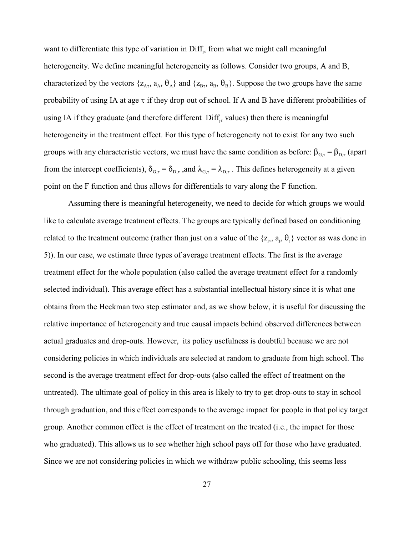want to differentiate this type of variation in  $\text{Diff}_{j\tau}$  from what we might call meaningful heterogeneity. We define meaningful heterogeneity as follows. Consider two groups, A and B, characterized by the vectors  $\{z_{A_{\tau}}, a_{A}, \theta_{A}\}\$  and  $\{z_{B_{\tau}}, a_{B}, \theta_{B}\}\$ . Suppose the two groups have the same probability of using IA at age  $\tau$  if they drop out of school. If A and B have different probabilities of using IA if they graduate (and therefore different  $\text{Diff}_{j\tau}$  values) then there is meaningful heterogeneity in the treatment effect. For this type of heterogeneity not to exist for any two such groups with any characteristic vectors, we must have the same condition as before:  $\beta_{G,\tau} = \beta_{D,\tau}$  (apart from the intercept coefficients),  $\delta_{G,\tau} = \delta_{D,\tau}$ , and  $\lambda_{G,\tau} = \lambda_{D,\tau}$ . This defines heterogeneity at a given point on the F function and thus allows for differentials to vary along the F function.

Assuming there is meaningful heterogeneity, we need to decide for which groups we would like to calculate average treatment effects. The groups are typically defined based on conditioning related to the treatment outcome (rather than just on a value of the  $\{z_{j\tau}, a_j, \theta_j\}$  vector as was done in 5)). In our case, we estimate three types of average treatment effects. The first is the average treatment effect for the whole population (also called the average treatment effect for a randomly selected individual). This average effect has a substantial intellectual history since it is what one obtains from the Heckman two step estimator and, as we show below, it is useful for discussing the relative importance of heterogeneity and true causal impacts behind observed differences between actual graduates and drop-outs. However, its policy usefulness is doubtful because we are not considering policies in which individuals are selected at random to graduate from high school. The second is the average treatment effect for drop-outs (also called the effect of treatment on the untreated). The ultimate goal of policy in this area is likely to try to get drop-outs to stay in school through graduation, and this effect corresponds to the average impact for people in that policy target group. Another common effect is the effect of treatment on the treated (i.e., the impact for those who graduated). This allows us to see whether high school pays off for those who have graduated. Since we are not considering policies in which we withdraw public schooling, this seems less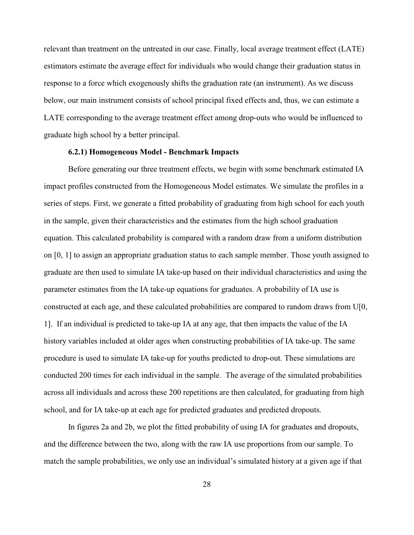relevant than treatment on the untreated in our case. Finally, local average treatment effect (LATE) estimators estimate the average effect for individuals who would change their graduation status in response to a force which exogenously shifts the graduation rate (an instrument). As we discuss below, our main instrument consists of school principal fixed effects and, thus, we can estimate a LATE corresponding to the average treatment effect among drop-outs who would be influenced to graduate high school by a better principal.

#### **6.2.1) Homogeneous Model - Benchmark Impacts**

Before generating our three treatment effects, we begin with some benchmark estimated IA impact profiles constructed from the Homogeneous Model estimates. We simulate the profiles in a series of steps. First, we generate a fitted probability of graduating from high school for each youth in the sample, given their characteristics and the estimates from the high school graduation equation. This calculated probability is compared with a random draw from a uniform distribution on [0, 1] to assign an appropriate graduation status to each sample member. Those youth assigned to graduate are then used to simulate IA take-up based on their individual characteristics and using the parameter estimates from the IA take-up equations for graduates. A probability of IA use is constructed at each age, and these calculated probabilities are compared to random draws from U[0, 1]. If an individual is predicted to take-up IA at any age, that then impacts the value of the IA history variables included at older ages when constructing probabilities of IA take-up. The same procedure is used to simulate IA take-up for youths predicted to drop-out. These simulations are conducted 200 times for each individual in the sample. The average of the simulated probabilities across all individuals and across these 200 repetitions are then calculated, for graduating from high school, and for IA take-up at each age for predicted graduates and predicted dropouts.

In figures 2a and 2b, we plot the fitted probability of using IA for graduates and dropouts, and the difference between the two, along with the raw IA use proportions from our sample. To match the sample probabilities, we only use an individual's simulated history at a given age if that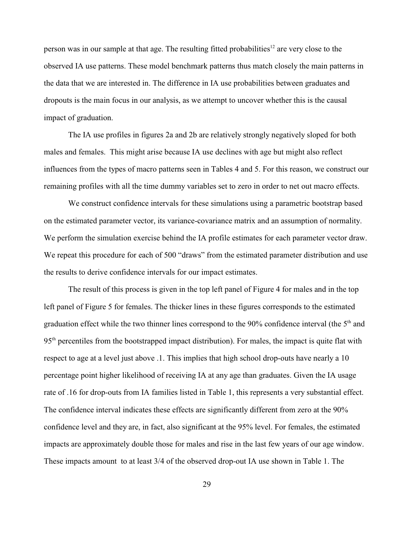person was in our sample at that age. The resulting fitted probabilities<sup>12</sup> are very close to the observed IA use patterns. These model benchmark patterns thus match closely the main patterns in the data that we are interested in. The difference in IA use probabilities between graduates and dropouts is the main focus in our analysis, as we attempt to uncover whether this is the causal impact of graduation.

The IA use profiles in figures 2a and 2b are relatively strongly negatively sloped for both males and females. This might arise because IA use declines with age but might also reflect influences from the types of macro patterns seen in Tables 4 and 5. For this reason, we construct our remaining profiles with all the time dummy variables set to zero in order to net out macro effects.

We construct confidence intervals for these simulations using a parametric bootstrap based on the estimated parameter vector, its variance-covariance matrix and an assumption of normality. We perform the simulation exercise behind the IA profile estimates for each parameter vector draw. We repeat this procedure for each of 500 "draws" from the estimated parameter distribution and use the results to derive confidence intervals for our impact estimates.

The result of this process is given in the top left panel of Figure 4 for males and in the top left panel of Figure 5 for females. The thicker lines in these figures corresponds to the estimated graduation effect while the two thinner lines correspond to the  $90\%$  confidence interval (the  $5<sup>th</sup>$  and  $95<sup>th</sup>$  percentiles from the bootstrapped impact distribution). For males, the impact is quite flat with respect to age at a level just above .1. This implies that high school drop-outs have nearly a 10 percentage point higher likelihood of receiving IA at any age than graduates. Given the IA usage rate of .16 for drop-outs from IA families listed in Table 1, this represents a very substantial effect. The confidence interval indicates these effects are significantly different from zero at the 90% confidence level and they are, in fact, also significant at the 95% level. For females, the estimated impacts are approximately double those for males and rise in the last few years of our age window. These impacts amount to at least 3/4 of the observed drop-out IA use shown in Table 1. The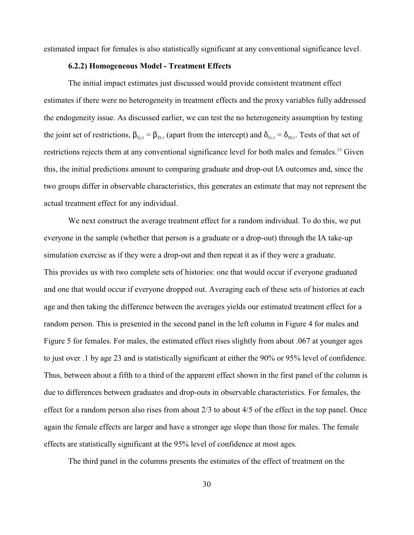estimated impact for females is also statistically significant at any conventional significance level.

#### **6.2.2) Homogeneous Model - Treatment Effects**

The initial impact estimates just discussed would provide consistent treatment effect estimates if there were no heterogeneity in treatment effects and the proxy variables fully addressed the endogeneity issue. As discussed earlier, we can test the no heterogeneity assumption by testing the joint set of restrictions,  $\beta_{G,\tau} = \beta_{D,\tau}$  (apart from the intercept) and  $\delta_{G,\tau} = \delta_{D,\tau}$ . Tests of that set of restrictions rejects them at any conventional significance level for both males and females.<sup>13</sup> Given this, the initial predictions amount to comparing graduate and drop-out IA outcomes and, since the two groups differ in observable characteristics, this generates an estimate that may not represent the actual treatment effect for any individual.

We next construct the average treatment effect for a random individual. To do this, we put everyone in the sample (whether that person is a graduate or a drop-out) through the IA take-up simulation exercise as if they were a drop-out and then repeat it as if they were a graduate. This provides us with two complete sets of histories: one that would occur if everyone graduated and one that would occur if everyone dropped out. Averaging each of these sets of histories at each age and then taking the difference between the averages yields our estimated treatment effect for a random person. This is presented in the second panel in the left column in Figure 4 for males and Figure 5 for females. For males, the estimated effect rises slightly from about .067 at younger ages to just over .1 by age 23 and is statistically significant at either the 90% or 95% level of confidence. Thus, between about a fifth to a third of the apparent effect shown in the first panel of the column is due to differences between graduates and drop-outs in observable characteristics. For females, the effect for a random person also rises from about 2/3 to about 4/5 of the effect in the top panel. Once again the female effects are larger and have a stronger age slope than those for males. The female effects are statistically significant at the 95% level of confidence at most ages.

The third panel in the columns presents the estimates of the effect of treatment on the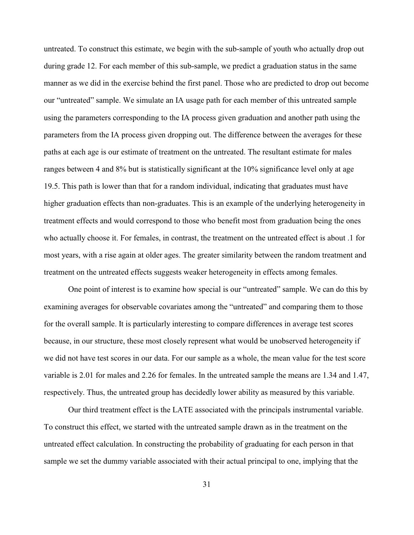untreated. To construct this estimate, we begin with the sub-sample of youth who actually drop out during grade 12. For each member of this sub-sample, we predict a graduation status in the same manner as we did in the exercise behind the first panel. Those who are predicted to drop out become our "untreated" sample. We simulate an IA usage path for each member of this untreated sample using the parameters corresponding to the IA process given graduation and another path using the parameters from the IA process given dropping out. The difference between the averages for these paths at each age is our estimate of treatment on the untreated. The resultant estimate for males ranges between 4 and 8% but is statistically significant at the 10% significance level only at age 19.5. This path is lower than that for a random individual, indicating that graduates must have higher graduation effects than non-graduates. This is an example of the underlying heterogeneity in treatment effects and would correspond to those who benefit most from graduation being the ones who actually choose it. For females, in contrast, the treatment on the untreated effect is about .1 for most years, with a rise again at older ages. The greater similarity between the random treatment and treatment on the untreated effects suggests weaker heterogeneity in effects among females.

One point of interest is to examine how special is our "untreated" sample. We can do this by examining averages for observable covariates among the "untreated" and comparing them to those for the overall sample. It is particularly interesting to compare differences in average test scores because, in our structure, these most closely represent what would be unobserved heterogeneity if we did not have test scores in our data. For our sample as a whole, the mean value for the test score variable is 2.01 for males and 2.26 for females. In the untreated sample the means are 1.34 and 1.47, respectively. Thus, the untreated group has decidedly lower ability as measured by this variable.

Our third treatment effect is the LATE associated with the principals instrumental variable. To construct this effect, we started with the untreated sample drawn as in the treatment on the untreated effect calculation. In constructing the probability of graduating for each person in that sample we set the dummy variable associated with their actual principal to one, implying that the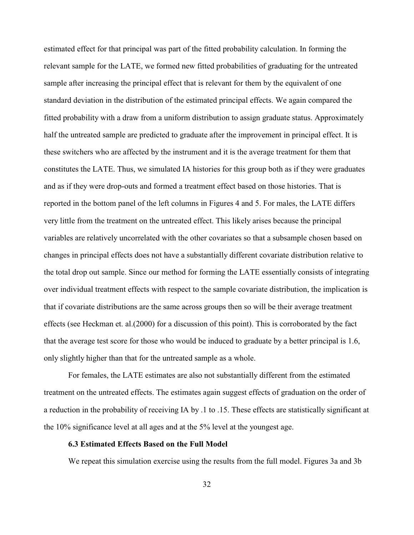estimated effect for that principal was part of the fitted probability calculation. In forming the relevant sample for the LATE, we formed new fitted probabilities of graduating for the untreated sample after increasing the principal effect that is relevant for them by the equivalent of one standard deviation in the distribution of the estimated principal effects. We again compared the fitted probability with a draw from a uniform distribution to assign graduate status. Approximately half the untreated sample are predicted to graduate after the improvement in principal effect. It is these switchers who are affected by the instrument and it is the average treatment for them that constitutes the LATE. Thus, we simulated IA histories for this group both as if they were graduates and as if they were drop-outs and formed a treatment effect based on those histories. That is reported in the bottom panel of the left columns in Figures 4 and 5. For males, the LATE differs very little from the treatment on the untreated effect. This likely arises because the principal variables are relatively uncorrelated with the other covariates so that a subsample chosen based on changes in principal effects does not have a substantially different covariate distribution relative to the total drop out sample. Since our method for forming the LATE essentially consists of integrating over individual treatment effects with respect to the sample covariate distribution, the implication is that if covariate distributions are the same across groups then so will be their average treatment effects (see Heckman et. al.(2000) for a discussion of this point). This is corroborated by the fact that the average test score for those who would be induced to graduate by a better principal is 1.6, only slightly higher than that for the untreated sample as a whole.

For females, the LATE estimates are also not substantially different from the estimated treatment on the untreated effects. The estimates again suggest effects of graduation on the order of a reduction in the probability of receiving IA by .1 to .15. These effects are statistically significant at the 10% significance level at all ages and at the 5% level at the youngest age.

#### **6.3 Estimated Effects Based on the Full Model**

We repeat this simulation exercise using the results from the full model. Figures 3a and 3b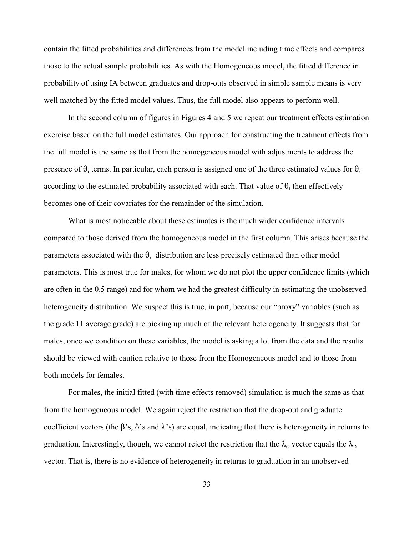contain the fitted probabilities and differences from the model including time effects and compares those to the actual sample probabilities. As with the Homogeneous model, the fitted difference in probability of using IA between graduates and drop-outs observed in simple sample means is very well matched by the fitted model values. Thus, the full model also appears to perform well.

In the second column of figures in Figures 4 and 5 we repeat our treatment effects estimation exercise based on the full model estimates. Our approach for constructing the treatment effects from the full model is the same as that from the homogeneous model with adjustments to address the presence of  $\theta_i$  terms. In particular, each person is assigned one of the three estimated values for  $\theta_i$ according to the estimated probability associated with each. That value of  $\theta_i$  then effectively becomes one of their covariates for the remainder of the simulation.

What is most noticeable about these estimates is the much wider confidence intervals compared to those derived from the homogeneous model in the first column. This arises because the parameters associated with the  $\theta_i$  distribution are less precisely estimated than other model parameters. This is most true for males, for whom we do not plot the upper confidence limits (which are often in the 0.5 range) and for whom we had the greatest difficulty in estimating the unobserved heterogeneity distribution. We suspect this is true, in part, because our "proxy" variables (such as the grade 11 average grade) are picking up much of the relevant heterogeneity. It suggests that for males, once we condition on these variables, the model is asking a lot from the data and the results should be viewed with caution relative to those from the Homogeneous model and to those from both models for females.

For males, the initial fitted (with time effects removed) simulation is much the same as that from the homogeneous model. We again reject the restriction that the drop-out and graduate coefficient vectors (the  $\beta$ 's,  $\delta$ 's and  $\lambda$ 's) are equal, indicating that there is heterogeneity in returns to graduation. Interestingly, though, we cannot reject the restriction that the  $\lambda_{\rm G}$  vector equals the  $\lambda_{\rm D}$ vector. That is, there is no evidence of heterogeneity in returns to graduation in an unobserved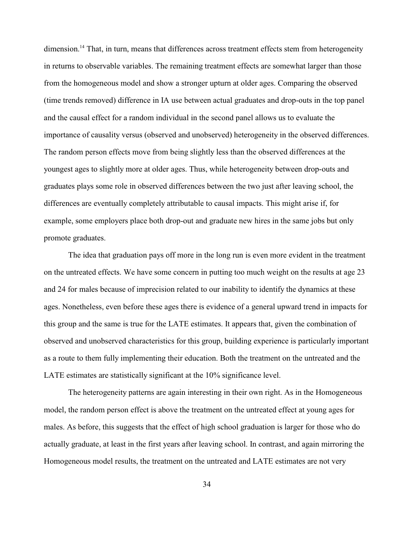dimension.<sup>14</sup> That, in turn, means that differences across treatment effects stem from heterogeneity in returns to observable variables. The remaining treatment effects are somewhat larger than those from the homogeneous model and show a stronger upturn at older ages. Comparing the observed (time trends removed) difference in IA use between actual graduates and drop-outs in the top panel and the causal effect for a random individual in the second panel allows us to evaluate the importance of causality versus (observed and unobserved) heterogeneity in the observed differences. The random person effects move from being slightly less than the observed differences at the youngest ages to slightly more at older ages. Thus, while heterogeneity between drop-outs and graduates plays some role in observed differences between the two just after leaving school, the differences are eventually completely attributable to causal impacts. This might arise if, for example, some employers place both drop-out and graduate new hires in the same jobs but only promote graduates.

The idea that graduation pays off more in the long run is even more evident in the treatment on the untreated effects. We have some concern in putting too much weight on the results at age 23 and 24 for males because of imprecision related to our inability to identify the dynamics at these ages. Nonetheless, even before these ages there is evidence of a general upward trend in impacts for this group and the same is true for the LATE estimates. It appears that, given the combination of observed and unobserved characteristics for this group, building experience is particularly important as a route to them fully implementing their education. Both the treatment on the untreated and the LATE estimates are statistically significant at the 10% significance level.

The heterogeneity patterns are again interesting in their own right. As in the Homogeneous model, the random person effect is above the treatment on the untreated effect at young ages for males. As before, this suggests that the effect of high school graduation is larger for those who do actually graduate, at least in the first years after leaving school. In contrast, and again mirroring the Homogeneous model results, the treatment on the untreated and LATE estimates are not very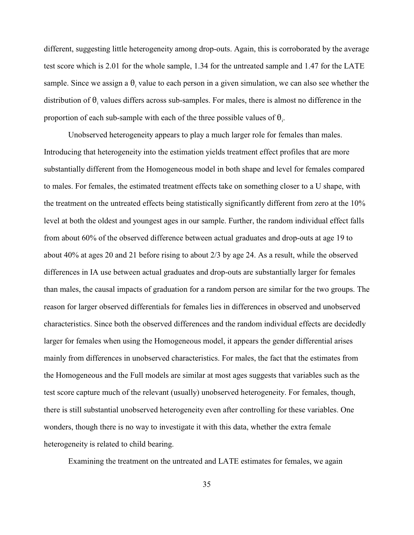different, suggesting little heterogeneity among drop-outs. Again, this is corroborated by the average test score which is 2.01 for the whole sample, 1.34 for the untreated sample and 1.47 for the LATE sample. Since we assign a  $\theta_i$  value to each person in a given simulation, we can also see whether the distribution of  $\theta_i$  values differs across sub-samples. For males, there is almost no difference in the proportion of each sub-sample with each of the three possible values of  $\theta_i$ .

Unobserved heterogeneity appears to play a much larger role for females than males. Introducing that heterogeneity into the estimation yields treatment effect profiles that are more substantially different from the Homogeneous model in both shape and level for females compared to males. For females, the estimated treatment effects take on something closer to a U shape, with the treatment on the untreated effects being statistically significantly different from zero at the 10% level at both the oldest and youngest ages in our sample. Further, the random individual effect falls from about 60% of the observed difference between actual graduates and drop-outs at age 19 to about 40% at ages 20 and 21 before rising to about 2/3 by age 24. As a result, while the observed differences in IA use between actual graduates and drop-outs are substantially larger for females than males, the causal impacts of graduation for a random person are similar for the two groups. The reason for larger observed differentials for females lies in differences in observed and unobserved characteristics. Since both the observed differences and the random individual effects are decidedly larger for females when using the Homogeneous model, it appears the gender differential arises mainly from differences in unobserved characteristics. For males, the fact that the estimates from the Homogeneous and the Full models are similar at most ages suggests that variables such as the test score capture much of the relevant (usually) unobserved heterogeneity. For females, though, there is still substantial unobserved heterogeneity even after controlling for these variables. One wonders, though there is no way to investigate it with this data, whether the extra female heterogeneity is related to child bearing.

Examining the treatment on the untreated and LATE estimates for females, we again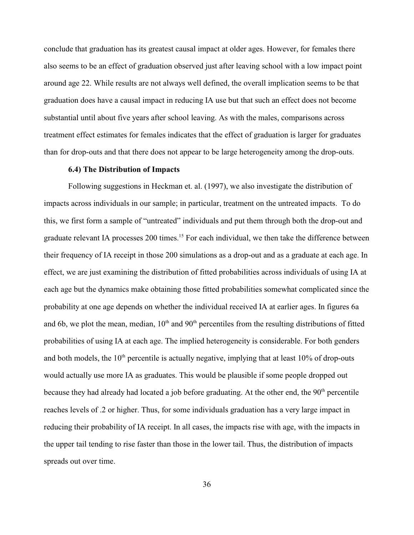conclude that graduation has its greatest causal impact at older ages. However, for females there also seems to be an effect of graduation observed just after leaving school with a low impact point around age 22. While results are not always well defined, the overall implication seems to be that graduation does have a causal impact in reducing IA use but that such an effect does not become substantial until about five years after school leaving. As with the males, comparisons across treatment effect estimates for females indicates that the effect of graduation is larger for graduates than for drop-outs and that there does not appear to be large heterogeneity among the drop-outs.

#### **6.4) The Distribution of Impacts**

Following suggestions in Heckman et. al. (1997), we also investigate the distribution of impacts across individuals in our sample; in particular, treatment on the untreated impacts. To do this, we first form a sample of "untreated" individuals and put them through both the drop-out and graduate relevant IA processes 200 times.<sup>15</sup> For each individual, we then take the difference between their frequency of IA receipt in those 200 simulations as a drop-out and as a graduate at each age. In effect, we are just examining the distribution of fitted probabilities across individuals of using IA at each age but the dynamics make obtaining those fitted probabilities somewhat complicated since the probability at one age depends on whether the individual received IA at earlier ages. In figures 6a and 6b, we plot the mean, median,  $10<sup>th</sup>$  and  $90<sup>th</sup>$  percentiles from the resulting distributions of fitted probabilities of using IA at each age. The implied heterogeneity is considerable. For both genders and both models, the  $10<sup>th</sup>$  percentile is actually negative, implying that at least  $10<sup>th</sup>$  of drop-outs would actually use more IA as graduates. This would be plausible if some people dropped out because they had already had located a job before graduating. At the other end, the 90<sup>th</sup> percentile reaches levels of .2 or higher. Thus, for some individuals graduation has a very large impact in reducing their probability of IA receipt. In all cases, the impacts rise with age, with the impacts in the upper tail tending to rise faster than those in the lower tail. Thus, the distribution of impacts spreads out over time.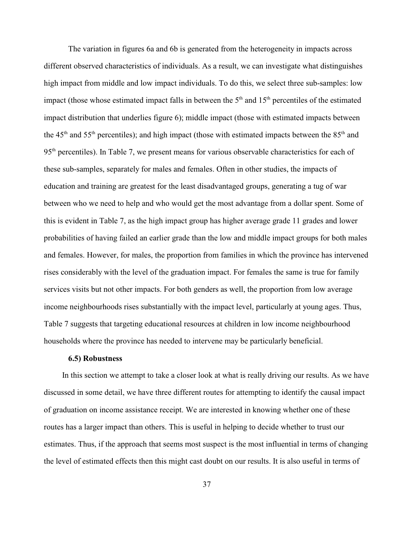The variation in figures 6a and 6b is generated from the heterogeneity in impacts across different observed characteristics of individuals. As a result, we can investigate what distinguishes high impact from middle and low impact individuals. To do this, we select three sub-samples: low impact (those whose estimated impact falls in between the  $5<sup>th</sup>$  and  $15<sup>th</sup>$  percentiles of the estimated impact distribution that underlies figure 6); middle impact (those with estimated impacts between the 45<sup>th</sup> and 55<sup>th</sup> percentiles); and high impact (those with estimated impacts between the  $85<sup>th</sup>$  and  $95<sup>th</sup>$  percentiles). In Table 7, we present means for various observable characteristics for each of these sub-samples, separately for males and females. Often in other studies, the impacts of education and training are greatest for the least disadvantaged groups, generating a tug of war between who we need to help and who would get the most advantage from a dollar spent. Some of this is evident in Table 7, as the high impact group has higher average grade 11 grades and lower probabilities of having failed an earlier grade than the low and middle impact groups for both males and females. However, for males, the proportion from families in which the province has intervened rises considerably with the level of the graduation impact. For females the same is true for family services visits but not other impacts. For both genders as well, the proportion from low average income neighbourhoods rises substantially with the impact level, particularly at young ages. Thus, Table 7 suggests that targeting educational resources at children in low income neighbourhood households where the province has needed to intervene may be particularly beneficial.

#### **6.5) Robustness**

 In this section we attempt to take a closer look at what is really driving our results. As we have discussed in some detail, we have three different routes for attempting to identify the causal impact of graduation on income assistance receipt. We are interested in knowing whether one of these routes has a larger impact than others. This is useful in helping to decide whether to trust our estimates. Thus, if the approach that seems most suspect is the most influential in terms of changing the level of estimated effects then this might cast doubt on our results. It is also useful in terms of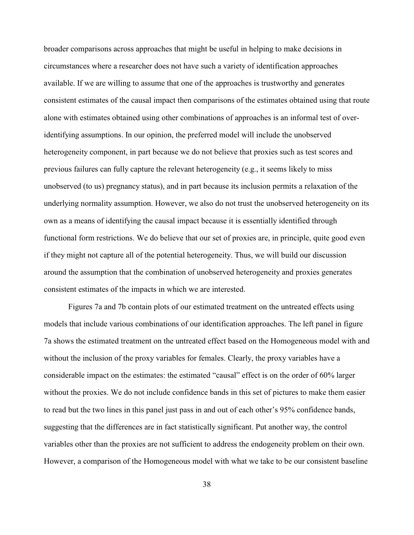broader comparisons across approaches that might be useful in helping to make decisions in circumstances where a researcher does not have such a variety of identification approaches available. If we are willing to assume that one of the approaches is trustworthy and generates consistent estimates of the causal impact then comparisons of the estimates obtained using that route alone with estimates obtained using other combinations of approaches is an informal test of overidentifying assumptions. In our opinion, the preferred model will include the unobserved heterogeneity component, in part because we do not believe that proxies such as test scores and previous failures can fully capture the relevant heterogeneity (e.g., it seems likely to miss unobserved (to us) pregnancy status), and in part because its inclusion permits a relaxation of the underlying normality assumption. However, we also do not trust the unobserved heterogeneity on its own as a means of identifying the causal impact because it is essentially identified through functional form restrictions. We do believe that our set of proxies are, in principle, quite good even if they might not capture all of the potential heterogeneity. Thus, we will build our discussion around the assumption that the combination of unobserved heterogeneity and proxies generates consistent estimates of the impacts in which we are interested.

Figures 7a and 7b contain plots of our estimated treatment on the untreated effects using models that include various combinations of our identification approaches. The left panel in figure 7a shows the estimated treatment on the untreated effect based on the Homogeneous model with and without the inclusion of the proxy variables for females. Clearly, the proxy variables have a considerable impact on the estimates: the estimated "causal" effect is on the order of 60% larger without the proxies. We do not include confidence bands in this set of pictures to make them easier to read but the two lines in this panel just pass in and out of each other's 95% confidence bands, suggesting that the differences are in fact statistically significant. Put another way, the control variables other than the proxies are not sufficient to address the endogeneity problem on their own. However, a comparison of the Homogeneous model with what we take to be our consistent baseline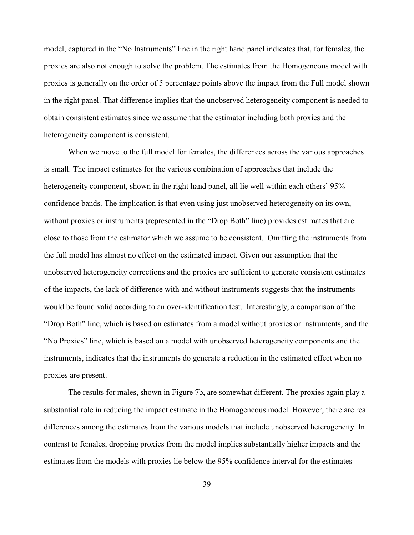model, captured in the "No Instruments" line in the right hand panel indicates that, for females, the proxies are also not enough to solve the problem. The estimates from the Homogeneous model with proxies is generally on the order of 5 percentage points above the impact from the Full model shown in the right panel. That difference implies that the unobserved heterogeneity component is needed to obtain consistent estimates since we assume that the estimator including both proxies and the heterogeneity component is consistent.

When we move to the full model for females, the differences across the various approaches is small. The impact estimates for the various combination of approaches that include the heterogeneity component, shown in the right hand panel, all lie well within each others' 95% confidence bands. The implication is that even using just unobserved heterogeneity on its own, without proxies or instruments (represented in the "Drop Both" line) provides estimates that are close to those from the estimator which we assume to be consistent. Omitting the instruments from the full model has almost no effect on the estimated impact. Given our assumption that the unobserved heterogeneity corrections and the proxies are sufficient to generate consistent estimates of the impacts, the lack of difference with and without instruments suggests that the instruments would be found valid according to an over-identification test. Interestingly, a comparison of the "Drop Both" line, which is based on estimates from a model without proxies or instruments, and the "No Proxies" line, which is based on a model with unobserved heterogeneity components and the instruments, indicates that the instruments do generate a reduction in the estimated effect when no proxies are present.

The results for males, shown in Figure 7b, are somewhat different. The proxies again play a substantial role in reducing the impact estimate in the Homogeneous model. However, there are real differences among the estimates from the various models that include unobserved heterogeneity. In contrast to females, dropping proxies from the model implies substantially higher impacts and the estimates from the models with proxies lie below the 95% confidence interval for the estimates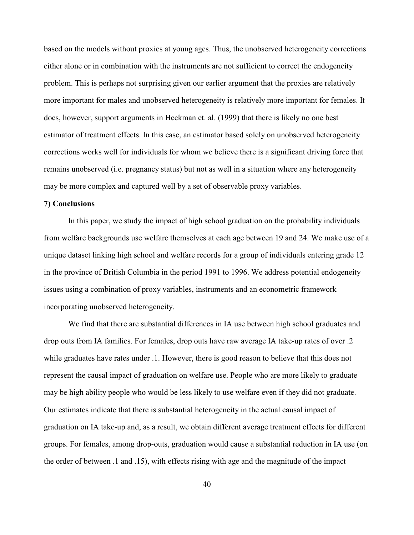based on the models without proxies at young ages. Thus, the unobserved heterogeneity corrections either alone or in combination with the instruments are not sufficient to correct the endogeneity problem. This is perhaps not surprising given our earlier argument that the proxies are relatively more important for males and unobserved heterogeneity is relatively more important for females. It does, however, support arguments in Heckman et. al. (1999) that there is likely no one best estimator of treatment effects. In this case, an estimator based solely on unobserved heterogeneity corrections works well for individuals for whom we believe there is a significant driving force that remains unobserved (i.e. pregnancy status) but not as well in a situation where any heterogeneity may be more complex and captured well by a set of observable proxy variables.

#### **7) Conclusions**

In this paper, we study the impact of high school graduation on the probability individuals from welfare backgrounds use welfare themselves at each age between 19 and 24. We make use of a unique dataset linking high school and welfare records for a group of individuals entering grade 12 in the province of British Columbia in the period 1991 to 1996. We address potential endogeneity issues using a combination of proxy variables, instruments and an econometric framework incorporating unobserved heterogeneity.

We find that there are substantial differences in IA use between high school graduates and drop outs from IA families. For females, drop outs have raw average IA take-up rates of over .2 while graduates have rates under .1. However, there is good reason to believe that this does not represent the causal impact of graduation on welfare use. People who are more likely to graduate may be high ability people who would be less likely to use welfare even if they did not graduate. Our estimates indicate that there is substantial heterogeneity in the actual causal impact of graduation on IA take-up and, as a result, we obtain different average treatment effects for different groups. For females, among drop-outs, graduation would cause a substantial reduction in IA use (on the order of between .1 and .15), with effects rising with age and the magnitude of the impact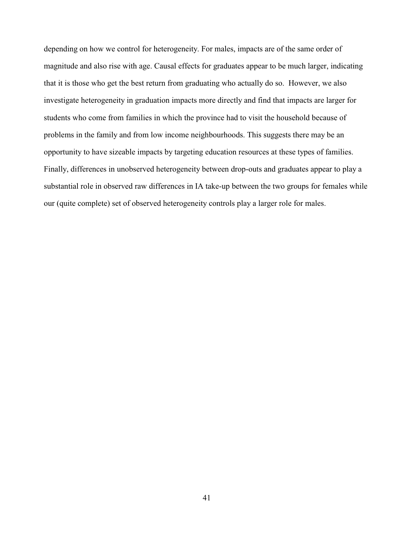depending on how we control for heterogeneity. For males, impacts are of the same order of magnitude and also rise with age. Causal effects for graduates appear to be much larger, indicating that it is those who get the best return from graduating who actually do so. However, we also investigate heterogeneity in graduation impacts more directly and find that impacts are larger for students who come from families in which the province had to visit the household because of problems in the family and from low income neighbourhoods. This suggests there may be an opportunity to have sizeable impacts by targeting education resources at these types of families. Finally, differences in unobserved heterogeneity between drop-outs and graduates appear to play a substantial role in observed raw differences in IA take-up between the two groups for females while our (quite complete) set of observed heterogeneity controls play a larger role for males.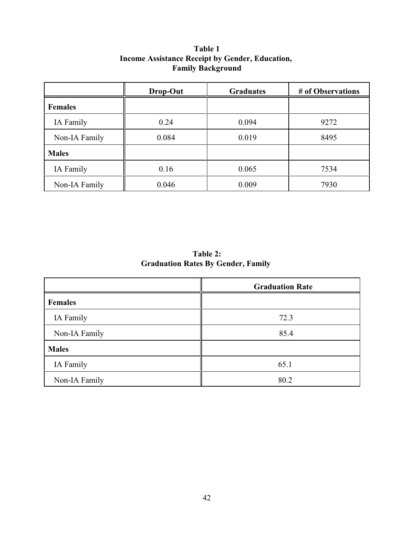|                | Drop-Out | <b>Graduates</b> | # of Observations |
|----------------|----------|------------------|-------------------|
| <b>Females</b> |          |                  |                   |
| IA Family      | 0.24     | 0.094            | 9272              |
| Non-IA Family  | 0.084    | 0.019            | 8495              |
| <b>Males</b>   |          |                  |                   |
| IA Family      | 0.16     | 0.065            | 7534              |
| Non-IA Family  | 0.046    | 0.009            | 7930              |

# **Table 1 Income Assistance Receipt by Gender, Education, Family Background**

**Table 2: Graduation Rates By Gender, Family** 

|                | <b>Graduation Rate</b> |
|----------------|------------------------|
| <b>Females</b> |                        |
| IA Family      | 72.3                   |
| Non-IA Family  | 85.4                   |
| <b>Males</b>   |                        |
| IA Family      | 65.1                   |
| Non-IA Family  | 80.2                   |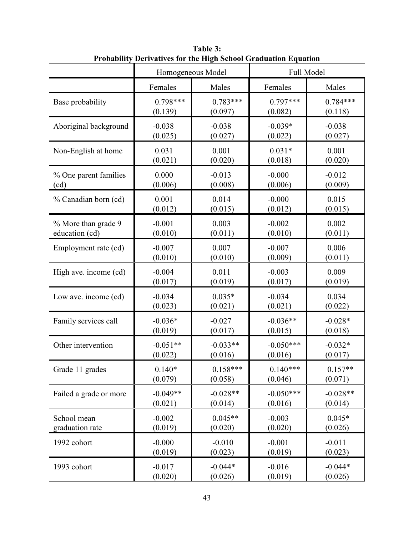|                        | Derrauves for the fligh senoof Graudation Equation<br>Homogeneous Model |            | Full Model  |            |
|------------------------|-------------------------------------------------------------------------|------------|-------------|------------|
|                        | Females                                                                 | Males      | Females     | Males      |
| Base probability       | $0.798***$                                                              | $0.783***$ | $0.797***$  | $0.784***$ |
|                        | (0.139)                                                                 | (0.097)    | (0.082)     | (0.118)    |
| Aboriginal background  | $-0.038$                                                                | $-0.038$   | $-0.039*$   | $-0.038$   |
|                        | (0.025)                                                                 | (0.027)    | (0.022)     | (0.027)    |
| Non-English at home    | 0.031                                                                   | 0.001      | $0.031*$    | 0.001      |
|                        | (0.021)                                                                 | (0.020)    | (0.018)     | (0.020)    |
| % One parent families  | 0.000                                                                   | $-0.013$   | $-0.000$    | $-0.012$   |
| (cd)                   | (0.006)                                                                 | (0.008)    | (0.006)     | (0.009)    |
| % Canadian born (cd)   | 0.001                                                                   | 0.014      | $-0.000$    | 0.015      |
|                        | (0.012)                                                                 | (0.015)    | (0.012)     | (0.015)    |
| % More than grade 9    | $-0.001$                                                                | 0.003      | $-0.002$    | 0.002      |
| education (cd)         | (0.010)                                                                 | (0.011)    | (0.010)     | (0.011)    |
| Employment rate (cd)   | $-0.007$                                                                | 0.007      | $-0.007$    | 0.006      |
|                        | (0.010)                                                                 | (0.010)    | (0.009)     | (0.011)    |
| High ave. income (cd)  | $-0.004$                                                                | 0.011      | $-0.003$    | 0.009      |
|                        | (0.017)                                                                 | (0.019)    | (0.017)     | (0.019)    |
| Low ave. income (cd)   | $-0.034$                                                                | $0.035*$   | $-0.034$    | 0.034      |
|                        | (0.023)                                                                 | (0.021)    | (0.021)     | (0.022)    |
| Family services call   | $-0.036*$                                                               | $-0.027$   | $-0.036**$  | $-0.028*$  |
|                        | (0.019)                                                                 | (0.017)    | (0.015)     | (0.018)    |
| Other intervention     | $-0.051**$                                                              | $-0.033**$ | $-0.050***$ | $-0.032*$  |
|                        | (0.022)                                                                 | (0.016)    | (0.016)     | (0.017)    |
| Grade 11 grades        | $0.140*$                                                                | $0.158***$ | $0.140***$  | $0.157**$  |
|                        | (0.079)                                                                 | (0.058)    | (0.046)     | (0.071)    |
| Failed a grade or more | $-0.049**$                                                              | $-0.028**$ | $-0.050***$ | $-0.028**$ |
|                        | (0.021)                                                                 | (0.014)    | (0.016)     | (0.014)    |
| School mean            | $-0.002$                                                                | $0.045**$  | $-0.003$    | $0.045*$   |
| graduation rate        | (0.019)                                                                 | (0.020)    | (0.020)     | (0.026)    |
| 1992 cohort            | $-0.000$                                                                | $-0.010$   | $-0.001$    | $-0.011$   |
|                        | (0.019)                                                                 | (0.023)    | (0.019)     | (0.023)    |
| 1993 cohort            | $-0.017$                                                                | $-0.044*$  | $-0.016$    | $-0.044*$  |
|                        | (0.020)                                                                 | (0.026)    | (0.019)     | (0.026)    |

**Table 3: Probability Derivatives for the High School Graduation Equation**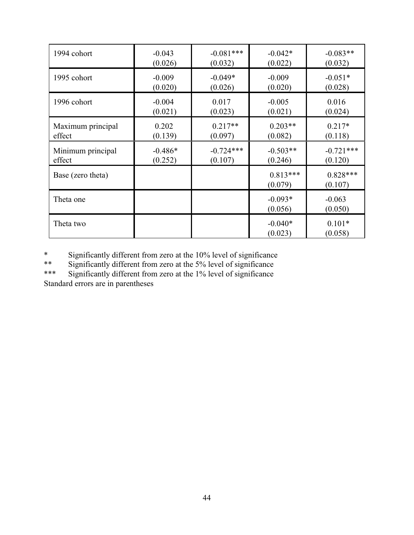| 1994 cohort       | $-0.043$  | $-0.081***$ | $-0.042*$             | $-0.083**$            |
|-------------------|-----------|-------------|-----------------------|-----------------------|
|                   | (0.026)   | (0.032)     | (0.022)               | (0.032)               |
| 1995 cohort       | $-0.009$  | $-0.049*$   | $-0.009$              | $-0.051*$             |
|                   | (0.020)   | (0.026)     | (0.020)               | (0.028)               |
| 1996 cohort       | $-0.004$  | 0.017       | $-0.005$              | 0.016                 |
|                   | (0.021)   | (0.023)     | (0.021)               | (0.024)               |
| Maximum principal | 0.202     | $0.217**$   | $0.203**$             | $0.217*$              |
| effect            | (0.139)   | (0.097)     | (0.082)               | (0.118)               |
| Minimum principal | $-0.486*$ | $-0.724***$ | $-0.503**$            | $-0.721***$           |
| effect            | (0.252)   | (0.107)     | (0.246)               | (0.120)               |
| Base (zero theta) |           |             | $0.813***$<br>(0.079) | $0.828***$<br>(0.107) |
| Theta one         |           |             | $-0.093*$<br>(0.056)  | $-0.063$<br>(0.050)   |
|                   |           |             |                       |                       |

\* Significantly different from zero at the  $10\%$  level of significance<br>\*\* Significantly different from zero at the  $5\%$  level of significance

\*\* Significantly different from zero at the 5% level of significance<br>\*\*\* Significantly different from zero at the 1% level of significance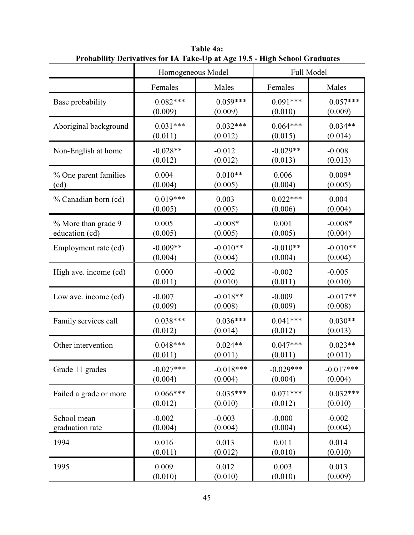|                        | Homogeneous Model |             |             | Full Model  |
|------------------------|-------------------|-------------|-------------|-------------|
|                        | Females           | Males       | Females     | Males       |
| Base probability       | $0.082***$        | $0.059***$  | $0.091***$  | $0.057***$  |
|                        | (0.009)           | (0.009)     | (0.010)     | (0.009)     |
| Aboriginal background  | $0.031***$        | $0.032***$  | $0.064***$  | $0.034**$   |
|                        | (0.011)           | (0.012)     | (0.015)     | (0.014)     |
| Non-English at home    | $-0.028**$        | $-0.012$    | $-0.029**$  | $-0.008$    |
|                        | (0.012)           | (0.012)     | (0.013)     | (0.013)     |
| % One parent families  | 0.004             | $0.010**$   | 0.006       | $0.009*$    |
| (cd)                   | (0.004)           | (0.005)     | (0.004)     | (0.005)     |
| % Canadian born (cd)   | $0.019***$        | 0.003       | $0.022***$  | 0.004       |
|                        | (0.005)           | (0.005)     | (0.006)     | (0.004)     |
| % More than grade 9    | 0.005             | $-0.008*$   | 0.001       | $-0.008*$   |
| education (cd)         | (0.005)           | (0.005)     | (0.005)     | (0.004)     |
| Employment rate (cd)   | $-0.009**$        | $-0.010**$  | $-0.010**$  | $-0.010**$  |
|                        | (0.004)           | (0.004)     | (0.004)     | (0.004)     |
| High ave. income (cd)  | 0.000             | $-0.002$    | $-0.002$    | $-0.005$    |
|                        | (0.011)           | (0.010)     | (0.011)     | (0.010)     |
| Low ave. income (cd)   | $-0.007$          | $-0.018**$  | $-0.009$    | $-0.017**$  |
|                        | (0.009)           | (0.008)     | (0.009)     | (0.008)     |
| Family services call   | $0.038***$        | $0.036***$  | $0.041***$  | $0.030**$   |
|                        | (0.012)           | (0.014)     | (0.012)     | (0.013)     |
| Other intervention     | $0.048***$        | $0.024**$   | $0.047***$  | $0.023**$   |
|                        | (0.011)           | (0.011)     | (0.011)     | (0.011)     |
| Grade 11 grades        | $-0.027***$       | $-0.018***$ | $-0.029***$ | $-0.017***$ |
|                        | (0.004)           | (0.004)     | (0.004)     | (0.004)     |
| Failed a grade or more | $0.066***$        | $0.035***$  | $0.071***$  | $0.032***$  |
|                        | (0.012)           | (0.010)     | (0.012)     | (0.010)     |
| School mean            | $-0.002$          | $-0.003$    | $-0.000$    | $-0.002$    |
| graduation rate        | (0.004)           | (0.004)     | (0.004)     | (0.004)     |
| 1994                   | 0.016             | 0.013       | 0.011       | 0.014       |
|                        | (0.011)           | (0.012)     | (0.010)     | (0.010)     |
| 1995                   | 0.009             | 0.012       | 0.003       | 0.013       |
|                        | (0.010)           | (0.010)     | (0.010)     | (0.009)     |

**Table 4a: Probability Derivatives for IA Take-Up at Age 19.5 - High School Graduates**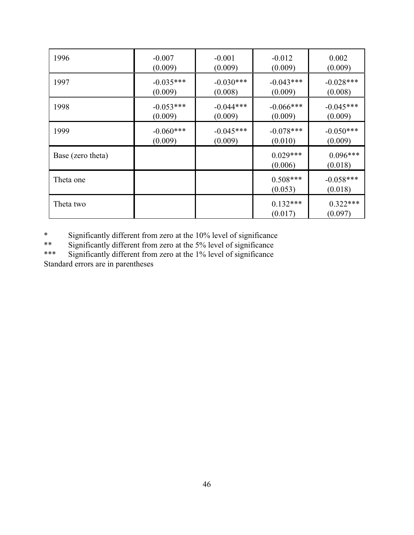| 1996              | $-0.007$    | $-0.001$    | $-0.012$              | 0.002                  |
|-------------------|-------------|-------------|-----------------------|------------------------|
|                   | (0.009)     | (0.009)     | (0.009)               | (0.009)                |
| 1997              | $-0.035***$ | $-0.030***$ | $-0.043***$           | $-0.028***$            |
|                   | (0.009)     | (0.008)     | (0.009)               | (0.008)                |
| 1998              | $-0.053***$ | $-0.044***$ | $-0.066***$           | $-0.045***$            |
|                   | (0.009)     | (0.009)     | (0.009)               | (0.009)                |
| 1999              | $-0.060***$ | $-0.045***$ | $-0.078***$           | $-0.050***$            |
|                   | (0.009)     | (0.009)     | (0.010)               | (0.009)                |
| Base (zero theta) |             |             | $0.029***$<br>(0.006) | $0.096***$<br>(0.018)  |
| Theta one         |             |             | $0.508***$<br>(0.053) | $-0.058***$<br>(0.018) |
| Theta two         |             |             | $0.132***$<br>(0.017) | $0.322***$<br>(0.097)  |

\* Significantly different from zero at the 10% level of significance<br>\*\* Significantly different from zero at the 5% level of significance

\*\* Significantly different from zero at the 5% level of significance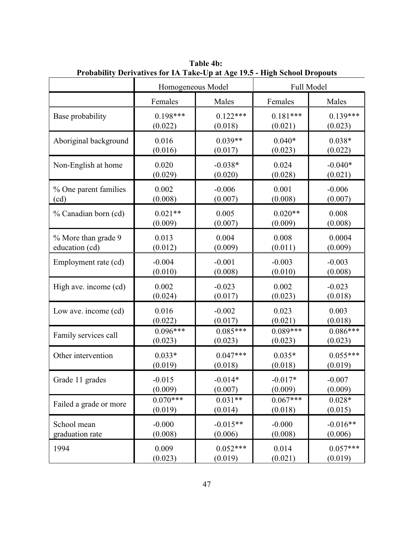|                        | $\mathbf{r}$ robability better the form in Fanc equality $\mathbf{r}$ is the sensor bropouts<br>Homogeneous Model |            |            | Full Model |
|------------------------|-------------------------------------------------------------------------------------------------------------------|------------|------------|------------|
|                        | Females                                                                                                           | Males      | Females    | Males      |
| Base probability       | $0.198***$                                                                                                        | $0.122***$ | $0.181***$ | $0.139***$ |
|                        | (0.022)                                                                                                           | (0.018)    | (0.021)    | (0.023)    |
| Aboriginal background  | 0.016                                                                                                             | $0.039**$  | $0.040*$   | $0.038*$   |
|                        | (0.016)                                                                                                           | (0.017)    | (0.023)    | (0.022)    |
| Non-English at home    | 0.020                                                                                                             | $-0.038*$  | 0.024      | $-0.040*$  |
|                        | (0.029)                                                                                                           | (0.020)    | (0.028)    | (0.021)    |
| % One parent families  | 0.002                                                                                                             | $-0.006$   | 0.001      | $-0.006$   |
| (cd)                   | (0.008)                                                                                                           | (0.007)    | (0.008)    | (0.007)    |
| % Canadian born (cd)   | $0.021**$                                                                                                         | 0.005      | $0.020**$  | 0.008      |
|                        | (0.009)                                                                                                           | (0.007)    | (0.009)    | (0.008)    |
| % More than grade 9    | 0.013                                                                                                             | 0.004      | 0.008      | 0.0004     |
| education (cd)         | (0.012)                                                                                                           | (0.009)    | (0.011)    | (0.009)    |
| Employment rate (cd)   | $-0.004$                                                                                                          | $-0.001$   | $-0.003$   | $-0.003$   |
|                        | (0.010)                                                                                                           | (0.008)    | (0.010)    | (0.008)    |
| High ave. income (cd)  | 0.002                                                                                                             | $-0.023$   | 0.002      | $-0.023$   |
|                        | (0.024)                                                                                                           | (0.017)    | (0.023)    | (0.018)    |
| Low ave. income (cd)   | 0.016                                                                                                             | $-0.002$   | 0.023      | 0.003      |
|                        | (0.022)                                                                                                           | (0.017)    | (0.021)    | (0.018)    |
| Family services call   | $0.096***$                                                                                                        | $0.085***$ | $0.089***$ | $0.086***$ |
|                        | (0.023)                                                                                                           | (0.023)    | (0.023)    | (0.023)    |
| Other intervention     | $0.033*$                                                                                                          | $0.047***$ | $0.035*$   | $0.055***$ |
|                        | (0.019)                                                                                                           | (0.018)    | (0.018)    | (0.019)    |
| Grade 11 grades        | $-0.015$                                                                                                          | $-0.014*$  | $-0.017*$  | $-0.007$   |
|                        | (0.009)                                                                                                           | (0.007)    | (0.009)    | (0.009)    |
| Failed a grade or more | $0.070***$                                                                                                        | $0.031**$  | $0.067***$ | $0.028*$   |
|                        | (0.019)                                                                                                           | (0.014)    | (0.018)    | (0.015)    |
| School mean            | $-0.000$                                                                                                          | $-0.015**$ | $-0.000$   | $-0.016**$ |
| graduation rate        | (0.008)                                                                                                           | (0.006)    | (0.008)    | (0.006)    |
| 1994                   | 0.009                                                                                                             | $0.052***$ | 0.014      | $0.057***$ |
|                        | (0.023)                                                                                                           | (0.019)    | (0.021)    | (0.019)    |

**Table 4b: Probability Derivatives for IA Take-Up at Age 19.5 - High School Dropouts**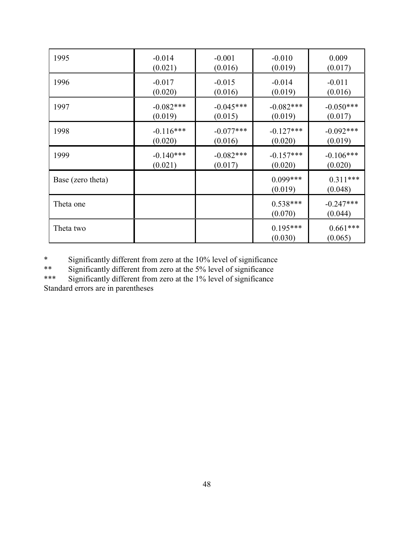| 1995              | $-0.014$    | $-0.001$    | $-0.010$              | 0.009                  |
|-------------------|-------------|-------------|-----------------------|------------------------|
|                   | (0.021)     | (0.016)     | (0.019)               | (0.017)                |
| 1996              | $-0.017$    | $-0.015$    | $-0.014$              | $-0.011$               |
|                   | (0.020)     | (0.016)     | (0.019)               | (0.016)                |
| 1997              | $-0.082***$ | $-0.045***$ | $-0.082***$           | $-0.050***$            |
|                   | (0.019)     | (0.015)     | (0.019)               | (0.017)                |
| 1998              | $-0.116***$ | $-0.077***$ | $-0.127***$           | $-0.092***$            |
|                   | (0.020)     | (0.016)     | (0.020)               | (0.019)                |
| 1999              | $-0.140***$ | $-0.082***$ | $-0.157***$           | $-0.106***$            |
|                   | (0.021)     | (0.017)     | (0.020)               | (0.020)                |
| Base (zero theta) |             |             | $0.099***$<br>(0.019) | $0.311***$<br>(0.048)  |
| Theta one         |             |             | $0.538***$<br>(0.070) | $-0.247***$<br>(0.044) |
| Theta two         |             |             | $0.195***$<br>(0.030) | $0.661***$<br>(0.065)  |

\* Significantly different from zero at the 10% level of significance

\*\* Significantly different from zero at the 5% level of significance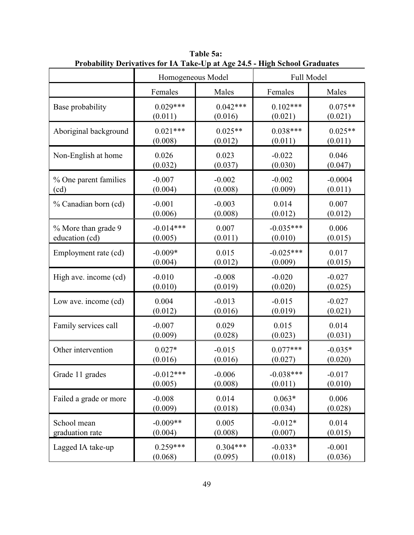|                        | Homogeneous Model |            |             | Full Model |
|------------------------|-------------------|------------|-------------|------------|
|                        | Females           | Males      | Females     | Males      |
| Base probability       | $0.029***$        | $0.042***$ | $0.102***$  | $0.075**$  |
|                        | (0.011)           | (0.016)    | (0.021)     | (0.021)    |
| Aboriginal background  | $0.021***$        | $0.025**$  | $0.038***$  | $0.025**$  |
|                        | (0.008)           | (0.012)    | (0.011)     | (0.011)    |
| Non-English at home    | 0.026             | 0.023      | $-0.022$    | 0.046      |
|                        | (0.032)           | (0.037)    | (0.030)     | (0.047)    |
| % One parent families  | $-0.007$          | $-0.002$   | $-0.002$    | $-0.0004$  |
| (cd)                   | (0.004)           | (0.008)    | (0.009)     | (0.011)    |
| % Canadian born (cd)   | $-0.001$          | $-0.003$   | 0.014       | 0.007      |
|                        | (0.006)           | (0.008)    | (0.012)     | (0.012)    |
| % More than grade 9    | $-0.014***$       | 0.007      | $-0.035***$ | 0.006      |
| education (cd)         | (0.005)           | (0.011)    | (0.010)     | (0.015)    |
| Employment rate (cd)   | $-0.009*$         | 0.015      | $-0.025***$ | 0.017      |
|                        | (0.004)           | (0.012)    | (0.009)     | (0.015)    |
| High ave. income (cd)  | $-0.010$          | $-0.008$   | $-0.020$    | $-0.027$   |
|                        | (0.010)           | (0.019)    | (0.020)     | (0.025)    |
| Low ave. income (cd)   | 0.004             | $-0.013$   | $-0.015$    | $-0.027$   |
|                        | (0.012)           | (0.016)    | (0.019)     | (0.021)    |
| Family services call   | $-0.007$          | 0.029      | 0.015       | 0.014      |
|                        | (0.009)           | (0.028)    | (0.023)     | (0.031)    |
| Other intervention     | $0.027*$          | $-0.015$   | $0.077***$  | $-0.035*$  |
|                        | (0.016)           | (0.016)    | (0.027)     | (0.020)    |
| Grade 11 grades        | $-0.012***$       | $-0.006$   | $-0.038***$ | $-0.017$   |
|                        | (0.005)           | (0.008)    | (0.011)     | (0.010)    |
| Failed a grade or more | $-0.008$          | 0.014      | $0.063*$    | 0.006      |
|                        | (0.009)           | (0.018)    | (0.034)     | (0.028)    |
| School mean            | $-0.009**$        | 0.005      | $-0.012*$   | 0.014      |
| graduation rate        | (0.004)           | (0.008)    | (0.007)     | (0.015)    |
| Lagged IA take-up      | $0.259***$        | $0.304***$ | $-0.033*$   | $-0.001$   |
|                        | (0.068)           | (0.095)    | (0.018)     | (0.036)    |

**Table 5a: Probability Derivatives for IA Take-Up at Age 24.5 - High School Graduates**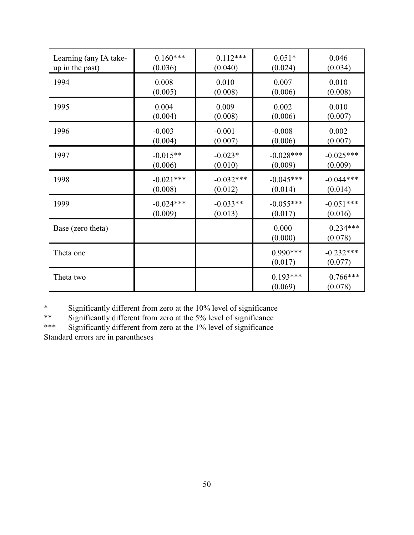| Learning (any IA take- | $0.160***$  | $0.112***$  | $0.051*$              | 0.046                  |
|------------------------|-------------|-------------|-----------------------|------------------------|
| up in the past)        | (0.036)     | (0.040)     | (0.024)               | (0.034)                |
| 1994                   | 0.008       | 0.010       | 0.007                 | 0.010                  |
|                        | (0.005)     | (0.008)     | (0.006)               | (0.008)                |
| 1995                   | 0.004       | 0.009       | 0.002                 | 0.010                  |
|                        | (0.004)     | (0.008)     | (0.006)               | (0.007)                |
| 1996                   | $-0.003$    | $-0.001$    | $-0.008$              | 0.002                  |
|                        | (0.004)     | (0.007)     | (0.006)               | (0.007)                |
| 1997                   | $-0.015**$  | $-0.023*$   | $-0.028***$           | $-0.025***$            |
|                        | (0.006)     | (0.010)     | (0.009)               | (0.009)                |
| 1998                   | $-0.021***$ | $-0.032***$ | $-0.045***$           | $-0.044***$            |
|                        | (0.008)     | (0.012)     | (0.014)               | (0.014)                |
| 1999                   | $-0.024***$ | $-0.033**$  | $-0.055***$           | $-0.051***$            |
|                        | (0.009)     | (0.013)     | (0.017)               | (0.016)                |
| Base (zero theta)      |             |             | 0.000<br>(0.000)      | $0.234***$<br>(0.078)  |
| Theta one              |             |             | $0.990***$<br>(0.017) | $-0.232***$<br>(0.077) |
| Theta two              |             |             | $0.193***$<br>(0.069) | $0.766***$<br>(0.078)  |

\* Significantly different from zero at the 10% level of significance<br>\*\* Significantly different from zero at the 5% level of significance

\*\* Significantly different from zero at the 5% level of significance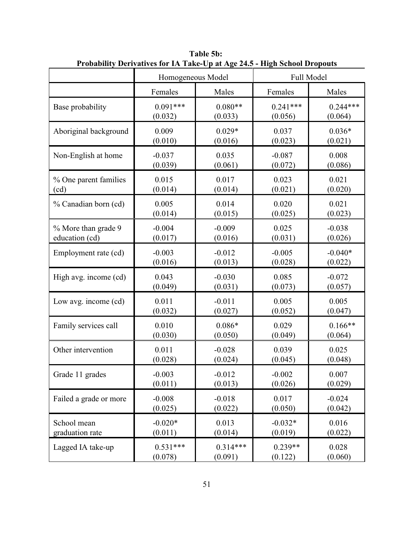|                        | Homogeneous Model |            |            | Full Model |
|------------------------|-------------------|------------|------------|------------|
|                        | Females           | Males      | Females    | Males      |
| Base probability       | $0.091***$        | $0.080**$  | $0.241***$ | $0.244***$ |
|                        | (0.032)           | (0.033)    | (0.056)    | (0.064)    |
| Aboriginal background  | 0.009             | $0.029*$   | 0.037      | $0.036*$   |
|                        | (0.010)           | (0.016)    | (0.023)    | (0.021)    |
| Non-English at home    | $-0.037$          | 0.035      | $-0.087$   | 0.008      |
|                        | (0.039)           | (0.061)    | (0.072)    | (0.086)    |
| % One parent families  | 0.015             | 0.017      | 0.023      | 0.021      |
| (cd)                   | (0.014)           | (0.014)    | (0.021)    | (0.020)    |
| % Canadian born (cd)   | 0.005             | 0.014      | 0.020      | 0.021      |
|                        | (0.014)           | (0.015)    | (0.025)    | (0.023)    |
| % More than grade 9    | $-0.004$          | $-0.009$   | 0.025      | $-0.038$   |
| education (cd)         | (0.017)           | (0.016)    | (0.031)    | (0.026)    |
| Employment rate (cd)   | $-0.003$          | $-0.012$   | $-0.005$   | $-0.040*$  |
|                        | (0.016)           | (0.013)    | (0.028)    | (0.022)    |
| High avg. income (cd)  | 0.043             | $-0.030$   | 0.085      | $-0.072$   |
|                        | (0.049)           | (0.031)    | (0.073)    | (0.057)    |
| Low avg. income (cd)   | 0.011             | $-0.011$   | 0.005      | 0.005      |
|                        | (0.032)           | (0.027)    | (0.052)    | (0.047)    |
| Family services call   | 0.010             | $0.086*$   | 0.029      | $0.166**$  |
|                        | (0.030)           | (0.050)    | (0.049)    | (0.064)    |
| Other intervention     | 0.011             | $-0.028$   | 0.039      | 0.025      |
|                        | (0.028)           | (0.024)    | (0.045)    | (0.048)    |
| Grade 11 grades        | $-0.003$          | $-0.012$   | $-0.002$   | 0.007      |
|                        | (0.011)           | (0.013)    | (0.026)    | (0.029)    |
| Failed a grade or more | $-0.008$          | $-0.018$   | 0.017      | $-0.024$   |
|                        | (0.025)           | (0.022)    | (0.050)    | (0.042)    |
| School mean            | $-0.020*$         | 0.013      | $-0.032*$  | 0.016      |
| graduation rate        | (0.011)           | (0.014)    | (0.019)    | (0.022)    |
| Lagged IA take-up      | $0.531***$        | $0.314***$ | $0.239**$  | 0.028      |
|                        | (0.078)           | (0.091)    | (0.122)    | (0.060)    |

**Table 5b: Probability Derivatives for IA Take-Up at Age 24.5 - High School Dropouts**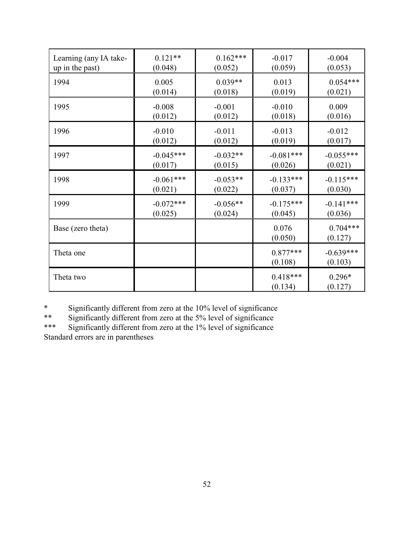| Learning (any IA take- | $0.121**$   | $0.162***$ | $-0.017$              | $-0.004$               |
|------------------------|-------------|------------|-----------------------|------------------------|
| up in the past)        | (0.048)     | (0.052)    | (0.059)               | (0.053)                |
| 1994                   | 0.005       | $0.039**$  | 0.013                 | $0.054***$             |
|                        | (0.014)     | (0.018)    | (0.019)               | (0.021)                |
| 1995                   | $-0.008$    | $-0.001$   | $-0.010$              | 0.009                  |
|                        | (0.012)     | (0.012)    | (0.018)               | (0.016)                |
| 1996                   | $-0.010$    | $-0.011$   | $-0.013$              | $-0.012$               |
|                        | (0.012)     | (0.012)    | (0.019)               | (0.017)                |
| 1997                   | $-0.045***$ | $-0.032**$ | $-0.081***$           | $-0.055***$            |
|                        | (0.017)     | (0.015)    | (0.026)               | (0.021)                |
| 1998                   | $-0.061***$ | $-0.053**$ | $-0.133***$           | $-0.115***$            |
|                        | (0.021)     | (0.022)    | (0.037)               | (0.030)                |
| 1999                   | $-0.072***$ | $-0.056**$ | $-0.175***$           | $-0.141***$            |
|                        | (0.025)     | (0.024)    | (0.045)               | (0.036)                |
| Base (zero theta)      |             |            | 0.076<br>(0.050)      | $0.704***$<br>(0.127)  |
| Theta one              |             |            | $0.877***$<br>(0.108) | $-0.639***$<br>(0.103) |
| Theta two              |             |            | $0.418***$<br>(0.134) | $0.296*$<br>(0.127)    |

\* Significantly different from zero at the 10% level of significance<br>\*\* Significantly different from zero at the 5% level of significance

\*\* Significantly different from zero at the 5% level of significance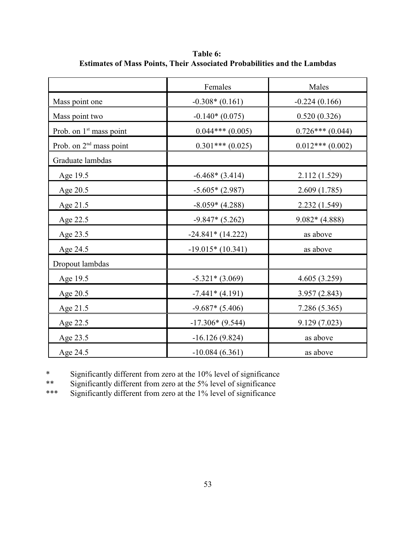|                                     | Females                      | Males              |  |  |
|-------------------------------------|------------------------------|--------------------|--|--|
| Mass point one                      | $-0.308*(0.161)$             | $-0.224(0.166)$    |  |  |
| Mass point two                      | $-0.140*(0.075)$             | 0.520(0.326)       |  |  |
| Prob. on 1 <sup>st</sup> mass point | $0.044***(0.005)$            | $0.726***$ (0.044) |  |  |
| Prob. on $2nd$ mass point           | $0.301***(0.025)$            | $0.012***(0.002)$  |  |  |
| Graduate lambdas                    |                              |                    |  |  |
| Age 19.5                            | $-6.468*(3.414)$             | 2.112 (1.529)      |  |  |
| Age 20.5                            | $-5.605*(2.987)$             | 2.609(1.785)       |  |  |
| Age 21.5                            | $-8.059*(4.288)$             | 2.232(1.549)       |  |  |
| Age 22.5                            | $-9.847*(5.262)$             | $9.082*(4.888)$    |  |  |
| Age 23.5                            | $-24.841*(14.222)$           | as above           |  |  |
| Age 24.5                            | $-19.015*(10.341)$           | as above           |  |  |
| Dropout lambdas                     |                              |                    |  |  |
| Age 19.5                            | $-5.321*(3.069)$             | 4.605(3.259)       |  |  |
| Age 20.5                            | $-7.441*(4.191)$             | 3.957(2.843)       |  |  |
| Age 21.5                            | $-9.687*(5.406)$             | 7.286 (5.365)      |  |  |
| Age 22.5                            | $-17.306*(9.544)$            | 9.129(7.023)       |  |  |
| Age 23.5                            | $-16.126(9.824)$             | as above           |  |  |
| Age 24.5                            | $-10.084(6.361)$<br>as above |                    |  |  |

**Table 6: Estimates of Mass Points, Their Associated Probabilities and the Lambdas**

\* Significantly different from zero at the  $10\%$  level of significance<br>\*\* Significantly different from zero at the  $5\%$  level of significance

\*\* Significantly different from zero at the 5% level of significance<br>\*\*\* Significantly different from zero at the 1% level of significance

Significantly different from zero at the 1% level of significance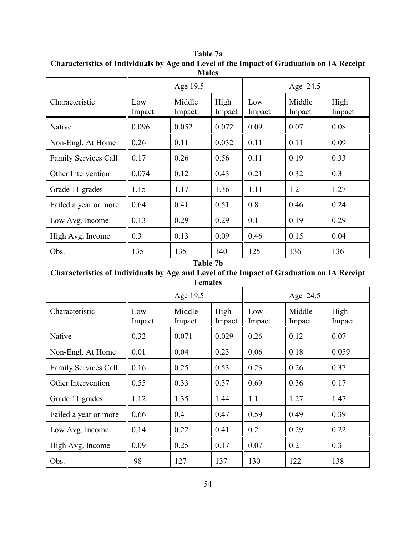|                             | Age 19.5      |                  |                | Age 24.5      |                  |                |
|-----------------------------|---------------|------------------|----------------|---------------|------------------|----------------|
| Characteristic              | Low<br>Impact | Middle<br>Impact | High<br>Impact | Low<br>Impact | Middle<br>Impact | High<br>Impact |
| Native                      | 0.096         | 0.052            | 0.072          | 0.09          | 0.07             | 0.08           |
| Non-Engl. At Home           | 0.26          | 0.11             | 0.032          | 0.11          | 0.11             | 0.09           |
| <b>Family Services Call</b> | 0.17          | 0.26             | 0.56           | 0.11          | 0.19             | 0.33           |
| Other Intervention          | 0.074         | 0.12             | 0.43           | 0.21          | 0.32             | 0.3            |
| Grade 11 grades             | 1.15          | 1.17             | 1.36           | 1.11          | 1.2              | 1.27           |
| Failed a year or more       | 0.64          | 0.41             | 0.51           | 0.8           | 0.46             | 0.24           |
| Low Avg. Income             | 0.13          | 0.29             | 0.29           | 0.1           | 0.19             | 0.29           |
| High Avg. Income            | 0.3           | 0.13             | 0.09           | 0.46          | 0.15             | 0.04           |
| Obs.                        | 135           | 135              | 140            | 125           | 136              | 136            |

**Table 7a Characteristics of Individuals by Age and Level of the Impact of Graduation on IA Receipt Males**

# **Table 7b**

# **Characteristics of Individuals by Age and Level of the Impact of Graduation on IA Receipt Females**

|                             | Age 19.5      |                  |                | Age 24.5      |                  |                |
|-----------------------------|---------------|------------------|----------------|---------------|------------------|----------------|
| Characteristic              | Low<br>Impact | Middle<br>Impact | High<br>Impact | Low<br>Impact | Middle<br>Impact | High<br>Impact |
| Native                      | 0.32          | 0.071            | 0.029          | 0.26          | 0.12             | 0.07           |
| Non-Engl. At Home           | 0.01          | 0.04             | 0.23           | 0.06          | 0.18             | 0.059          |
| <b>Family Services Call</b> | 0.16          | 0.25             | 0.53           | 0.23          | 0.26             | 0.37           |
| Other Intervention          | 0.55          | 0.33             | 0.37           | 0.69          | 0.36             | 0.17           |
| Grade 11 grades             | 1.12          | 1.35             | 1.44           | 1.1           | 1.27             | 1.47           |
| Failed a year or more       | 0.66          | 0.4              | 0.47           | 0.59          | 0.49             | 0.39           |
| Low Avg. Income             | 0.14          | 0.22             | 0.41           | 0.2           | 0.29             | 0.22           |
| High Avg. Income            | 0.09          | 0.25             | 0.17           | 0.07          | 0.2              | 0.3            |
| Obs.                        | 98            | 127              | 137            | 130           | 122              | 138            |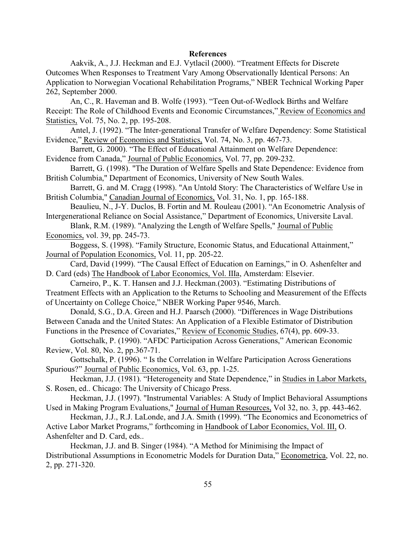#### **References**

Aakvik, A., J.J. Heckman and E.J. Vytlacil (2000). "Treatment Effects for Discrete Outcomes When Responses to Treatment Vary Among Observationally Identical Persons: An Application to Norwegian Vocational Rehabilitation Programs," NBER Technical Working Paper 262, September 2000.

An, C., R. Haveman and B. Wolfe (1993). "Teen Out-of-Wedlock Births and Welfare Receipt: The Role of Childhood Events and Economic Circumstances," Review of Economics and Statistics, Vol. 75, No. 2, pp. 195-208.

Antel, J. (1992). "The Inter-generational Transfer of Welfare Dependency: Some Statistical Evidence," Review of Economics and Statistics, Vol. 74, No. 3, pp. 467-73.

Barrett, G. 2000). "The Effect of Educational Attainment on Welfare Dependence: Evidence from Canada," Journal of Public Economics, Vol. 77, pp. 209-232.

Barrett, G. (1998). "The Duration of Welfare Spells and State Dependence: Evidence from British Columbia," Department of Economics, University of New South Wales.

Barrett, G. and M. Cragg (1998). "An Untold Story: The Characteristics of Welfare Use in British Columbia," Canadian Journal of Economics, Vol. 31, No. 1, pp. 165-188.

Beaulieu, N., J-Y. Duclos, B. Fortin and M. Rouleau (2001). "An Econometric Analysis of Intergenerational Reliance on Social Assistance," Department of Economics, Universite Laval.

Blank, R.M. (1989). "Analyzing the Length of Welfare Spells," Journal of Public Economics, vol. 39, pp. 245-73.

Boggess, S. (1998). "Family Structure, Economic Status, and Educational Attainment," Journal of Population Economics, Vol. 11, pp. 205-22.

Card, David (1999). "The Causal Effect of Education on Earnings," in O. Ashenfelter and D. Card (eds) The Handbook of Labor Economics, Vol. IIIa, Amsterdam: Elsevier.

Carneiro, P., K. T. Hansen and J.J. Heckman.(2003). "Estimating Distributions of Treatment Effects with an Application to the Returns to Schooling and Measurement of the Effects of Uncertainty on College Choice," NBER Working Paper 9546, March.

Donald, S.G., D.A. Green and H.J. Paarsch (2000). "Differences in Wage Distributions Between Canada and the United States: An Application of a Flexible Estimator of Distribution Functions in the Presence of Covariates," Review of Economic Studies, 67(4), pp. 609-33.

Gottschalk, P. (1990). "AFDC Participation Across Generations," American Economic Review, Vol. 80, No. 2, pp.367-71.

Gottschalk, P. (1996). " Is the Correlation in Welfare Participation Across Generations Spurious?" Journal of Public Economics, Vol. 63, pp. 1-25.

Heckman, J.J. (1981). "Heterogeneity and State Dependence," in Studies in Labor Markets, S. Rosen, ed.. Chicago: The University of Chicago Press.

Heckman, J.J. (1997). "Instrumental Variables: A Study of Implict Behavioral Assumptions Used in Making Program Evaluations," Journal of Human Resources, Vol 32, no. 3, pp. 443-462.

Heckman, J.J., R.J. LaLonde, and J.A. Smith (1999). "The Economics and Econometrics of Active Labor Market Programs," forthcoming in Handbook of Labor Economics, Vol. III, O. Ashenfelter and D. Card, eds..

Heckman, J.J. and B. Singer (1984). "A Method for Minimising the Impact of Distributional Assumptions in Econometric Models for Duration Data," Econometrica, Vol. 22, no. 2, pp. 271-320.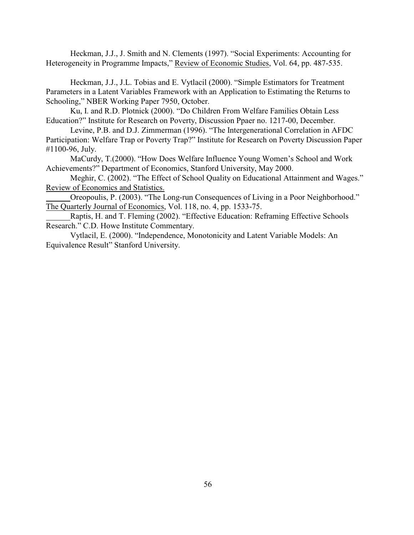Heckman, J.J., J. Smith and N. Clements (1997). "Social Experiments: Accounting for Heterogeneity in Programme Impacts," Review of Economic Studies, Vol. 64, pp. 487-535.

Heckman, J.J., J.L. Tobias and E. Vytlacil (2000). "Simple Estimators for Treatment Parameters in a Latent Variables Framework with an Application to Estimating the Returns to Schooling," NBER Working Paper 7950, October.

Ku, I. and R.D. Plotnick (2000). "Do Children From Welfare Families Obtain Less Education?" Institute for Research on Poverty, Discussion Ppaer no. 1217-00, December.

Levine, P.B. and D.J. Zimmerman (1996). "The Intergenerational Correlation in AFDC Participation: Welfare Trap or Poverty Trap?" Institute for Research on Poverty Discussion Paper #1100-96, July.

MaCurdy, T.(2000). "How Does Welfare Influence Young Women's School and Work Achievements?" Department of Economics, Stanford University, May 2000.

Meghir, C. (2002). "The Effect of School Quality on Educational Attainment and Wages." Review of Economics and Statistics.

Oreopoulis, P. (2003). "The Long-run Consequences of Living in a Poor Neighborhood." The Quarterly Journal of Economics, Vol. 118, no. 4, pp. 1533-75.

Raptis, H. and T. Fleming (2002). "Effective Education: Reframing Effective Schools Research." C.D. Howe Institute Commentary.

Vytlacil, E. (2000). "Independence, Monotonicity and Latent Variable Models: An Equivalence Result" Stanford University.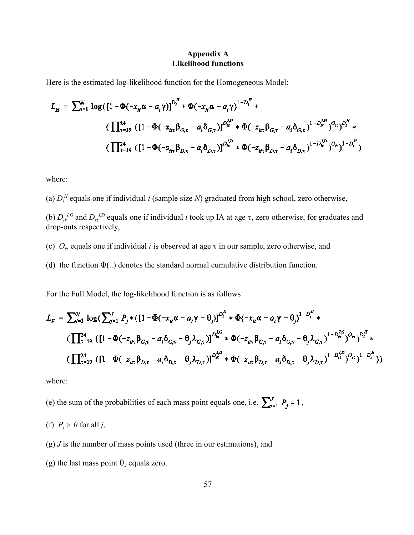### **Appendix A Likelihood functions**

Here is the estimated log-likelihood function for the Homogeneous Model:

$$
L_{H} = \sum_{i=1}^{N} \log \left( \left[ 1 - \Phi(-x_{it} \alpha - a_{i} \gamma) \right]^{D_{i}^{H}} * \Phi(-x_{it} \alpha - a_{i} \gamma) \right]^{1 - D_{i}^{H}} * \n\left( \prod_{\tau=19}^{24} \left( \left[ 1 - \Phi(-z_{it\tau} \beta_{G,\tau} - a_{i} \delta_{G,\tau}) \right]^{D_{i\tau}^{LG}} * \Phi(-z_{it\tau} \beta_{G,\tau} - a_{i} \delta_{G,\tau}) \right]^{1 - D_{i\tau}^{LG}} \right) ^{O_{i\tau}} \right)^{H} * \n\left( \prod_{\tau=19}^{24} \left( \left[ 1 - \Phi(-z_{it\tau} \beta_{D,\tau} - a_{i} \delta_{D,\tau}) \right]^{D_{i\tau}^{LD}} * \Phi(-z_{it\tau} \beta_{D,\tau} - a_{i} \delta_{D,\tau}) \right)^{1 - D_{i\tau}^{LD}} \right)^{O_{i\tau}} \right)^{1 - D_{i\tau}^{LD}}
$$

where:

(a)  $D_i^H$  equals one if individual *i* (sample size *N*) graduated from high school, zero otherwise,

(b)  $D_i^{I,G}$  and  $D_i^{I,D}$  equals one if individual *i* took up IA at age  $\tau$ , zero otherwise, for graduates and drop-outs respectively,

- (c)  $O_{i\tau}$  equals one if individual *i* is observed at age  $\tau$  in our sample, zero otherwise, and
- (d) the function  $\Phi(.)$  denotes the standard normal cumulative distribution function.

For the Full Model, the log-likelihood function is as follows:

$$
L_{F} = \sum_{i=1}^{N} \log \left( \sum_{j=1}^{J} P_{j} * (\left[ 1 - \Phi(-x_{it} \alpha - a_{i} \gamma - \theta_{j}) \right]^{D_{i}^{H}} * \Phi(-x_{it} \alpha - a_{i} \gamma - \theta_{j})^{1 - D_{i}^{H}} * \n\left( \prod_{\tau=19}^{24} \left( \left[ 1 - \Phi(-z_{it\tau} \beta_{G,\tau} - a_{i} \delta_{G,\tau} - \theta_{j} \lambda_{G,\tau}) \right]^{D_{i\tau}^{LG}} * \Phi(-z_{it\tau} \beta_{G,\tau} - a_{i} \delta_{G,\tau} - \theta_{j} \lambda_{G,\tau})^{1 - D_{i\tau}^{LG}} \right)^{Q_{i\tau}} \right)^{D_{i\tau}^{L}} * \n\left( \prod_{\tau=19}^{24} \left( \left[ 1 - \Phi(-z_{it\tau} \beta_{D,\tau} - a_{i} \delta_{D,\tau} - \theta_{j} \lambda_{D,\tau}) \right]^{D_{i\tau}^{L}} * \Phi(-z_{it\tau} \beta_{D,\tau} - a_{i} \delta_{D,\tau} - \theta_{j} \lambda_{D,\tau})^{1 - D_{i\tau}^{L}} \right)^{Q_{i\tau}} \right)^{1 - D_{i\tau}^{L}} \right)
$$

where:

(e) the sum of the probabilities of each mass point equals one, i.e.  $\sum_{j=1}^{V} P_j = 1$ ,

(f) 
$$
P_j \ge 0
$$
 for all j,

- (g) *J* is the number of mass points used (three in our estimations), and
- (g) the last mass point  $\theta_j$  equals zero.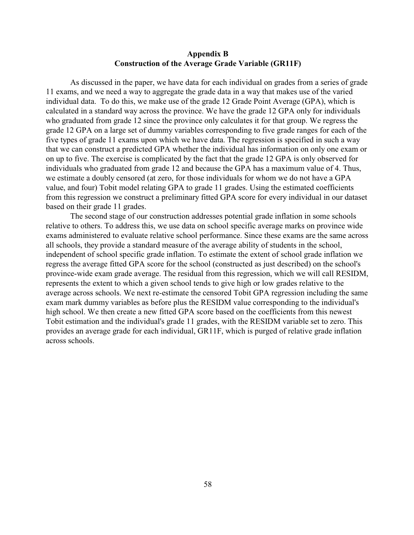#### **Appendix B Construction of the Average Grade Variable (GR11F)**

As discussed in the paper, we have data for each individual on grades from a series of grade 11 exams, and we need a way to aggregate the grade data in a way that makes use of the varied individual data. To do this, we make use of the grade 12 Grade Point Average (GPA), which is calculated in a standard way across the province. We have the grade 12 GPA only for individuals who graduated from grade 12 since the province only calculates it for that group. We regress the grade 12 GPA on a large set of dummy variables corresponding to five grade ranges for each of the five types of grade 11 exams upon which we have data. The regression is specified in such a way that we can construct a predicted GPA whether the individual has information on only one exam or on up to five. The exercise is complicated by the fact that the grade 12 GPA is only observed for individuals who graduated from grade 12 and because the GPA has a maximum value of 4. Thus, we estimate a doubly censored (at zero, for those individuals for whom we do not have a GPA value, and four) Tobit model relating GPA to grade 11 grades. Using the estimated coefficients from this regression we construct a preliminary fitted GPA score for every individual in our dataset based on their grade 11 grades.

The second stage of our construction addresses potential grade inflation in some schools relative to others. To address this, we use data on school specific average marks on province wide exams administered to evaluate relative school performance. Since these exams are the same across all schools, they provide a standard measure of the average ability of students in the school, independent of school specific grade inflation. To estimate the extent of school grade inflation we regress the average fitted GPA score for the school (constructed as just described) on the school's province-wide exam grade average. The residual from this regression, which we will call RESIDM, represents the extent to which a given school tends to give high or low grades relative to the average across schools. We next re-estimate the censored Tobit GPA regression including the same exam mark dummy variables as before plus the RESIDM value corresponding to the individual's high school. We then create a new fitted GPA score based on the coefficients from this newest Tobit estimation and the individual's grade 11 grades, with the RESIDM variable set to zero. This provides an average grade for each individual, GR11F, which is purged of relative grade inflation across schools.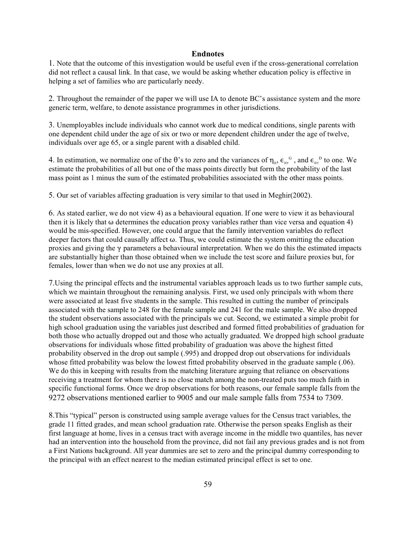#### **Endnotes**

1. Note that the outcome of this investigation would be useful even if the cross-generational correlation did not reflect a causal link. In that case, we would be asking whether education policy is effective in helping a set of families who are particularly needy.

2. Throughout the remainder of the paper we will use IA to denote BC's assistance system and the more generic term, welfare, to denote assistance programmes in other jurisdictions.

3. Unemployables include individuals who cannot work due to medical conditions, single parents with one dependent child under the age of six or two or more dependent children under the age of twelve, individuals over age 65, or a single parent with a disabled child.

4. In estimation, we normalize one of the  $\theta$ 's to zero and the variances of  $\eta_{\mu}$ ,  $\epsilon_{\text{it}}^{\alpha}$ , and  $\epsilon_{\text{it}}^{\beta}$  to one. We estimate the probabilities of all but one of the mass points directly but form the probability of the last mass point as 1 minus the sum of the estimated probabilities associated with the other mass points.

5. Our set of variables affecting graduation is very similar to that used in Meghir(2002).

6. As stated earlier, we do not view 4) as a behavioural equation. If one were to view it as behavioural then it is likely that  $\omega$  determines the education proxy variables rather than vice versa and equation 4) would be mis-specified. However, one could argue that the family intervention variables do reflect deeper factors that could causally affect  $\omega$ . Thus, we could estimate the system omitting the education proxies and giving the  $\gamma$  parameters a behavioural interpretation. When we do this the estimated impacts are substantially higher than those obtained when we include the test score and failure proxies but, for females, lower than when we do not use any proxies at all.

7.Using the principal effects and the instrumental variables approach leads us to two further sample cuts, which we maintain throughout the remaining analysis. First, we used only principals with whom there were associated at least five students in the sample. This resulted in cutting the number of principals associated with the sample to 248 for the female sample and 241 for the male sample. We also dropped the student observations associated with the principals we cut. Second, we estimated a simple probit for high school graduation using the variables just described and formed fitted probabilities of graduation for both those who actually dropped out and those who actually graduated. We dropped high school graduate observations for individuals whose fitted probability of graduation was above the highest fitted probability observed in the drop out sample (.995) and dropped drop out observations for individuals whose fitted probability was below the lowest fitted probability observed in the graduate sample (.06). We do this in keeping with results from the matching literature arguing that reliance on observations receiving a treatment for whom there is no close match among the non-treated puts too much faith in specific functional forms. Once we drop observations for both reasons, our female sample falls from the 9272 observations mentioned earlier to 9005 and our male sample falls from 7534 to 7309.

8.This "typical" person is constructed using sample average values for the Census tract variables, the grade 11 fitted grades, and mean school graduation rate. Otherwise the person speaks English as their first language at home, lives in a census tract with average income in the middle two quantiles, has never had an intervention into the household from the province, did not fail any previous grades and is not from a First Nations background. All year dummies are set to zero and the principal dummy corresponding to the principal with an effect nearest to the median estimated principal effect is set to one.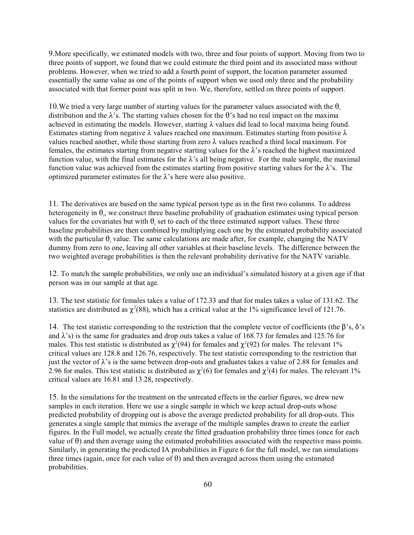9.More specifically, we estimated models with two, three and four points of support. Moving from two to three points of support, we found that we could estimate the third point and its associated mass without problems. However, when we tried to add a fourth point of support, the location parameter assumed essentially the same value as one of the points of support when we used only three and the probability associated with that former point was split in two. We, therefore, settled on three points of support.

10. We tried a very large number of starting values for the parameter values associated with the  $\theta_i$ distribution and the  $\lambda$ 's. The starting values chosen for the  $\theta$ 's had no real impact on the maxima achieved in estimating the models. However, starting  $\lambda$  values did lead to local maxima being found. Estimates starting from negative  $\lambda$  values reached one maximum. Estimates starting from positive  $\lambda$ values reached another, while those starting from zero  $\lambda$  values reached a third local maximum. For females, the estimates starting from negative starting values for the  $\lambda$ 's reached the highest maximized function value, with the final estimates for the  $\lambda$ 's all being negative. For the male sample, the maximal function value was achieved from the estimates starting from positive starting values for the  $\lambda$ 's. The optimized parameter estimates for the  $\lambda$ 's here were also positive.

11. The derivatives are based on the same typical person type as in the first two columns. To address heterogeneity in  $\theta_i$ , we construct three baseline probability of graduation estimates using typical person values for the covariates but with  $\theta_i$  set to each of the three estimated support values. These three baseline probabilities are then combined by multiplying each one by the estimated probability associated with the particular  $\theta_i$  value. The same calculations are made after, for example, changing the NATV dummy from zero to one, leaving all other variables at their baseline levels. The difference between the two weighted average probabilities is then the relevant probability derivative for the NATV variable.

12. To match the sample probabilities, we only use an individual's simulated history at a given age if that person was in our sample at that age.

13. The test statistic for females takes a value of 172.33 and that for males takes a value of 131.62. The statistics are distributed as  $\chi^2$  (88), which has a critical value at the 1% significance level of 121.76.

14. The test statistic corresponding to the restriction that the complete vector of coefficients (the  $\beta$ 's,  $\delta$ 's and  $\lambda$ 's) is the same for graduates and drop outs takes a value of 168.73 for females and 125.76 for males. This test statistic is distributed as  $\chi^2(94)$  for females and  $\chi^2(92)$  for males. The relevant 1% critical values are 128.8 and 126.76, respectively. The test statistic corresponding to the restriction that just the vector of  $\lambda$ 's is the same between drop-outs and graduates takes a value of 2.88 for females and 2.96 for males. This test statistic is distributed as  $\chi^2(6)$  for females and  $\chi^2(4)$  for males. The relevant 1% critical values are 16.81 and 13.28, respectively.

15. In the simulations for the treatment on the untreated effects in the earlier figures, we drew new samples in each iteration. Here we use a single sample in which we keep actual drop-outs whose predicted probability of dropping out is above the average predicted probability for all drop-outs. This generates a single sample that mimics the average of the multiple samples drawn to create the earlier figures. In the Full model, we actually create the fitted graduation probability three times (once for each value of  $\theta$ ) and then average using the estimated probabilities associated with the respective mass points. Similarly, in generating the predicted IA probabilities in Figure 6 for the full model, we ran simulations three times (again, once for each value of  $\theta$ ) and then averaged across them using the estimated probabilities.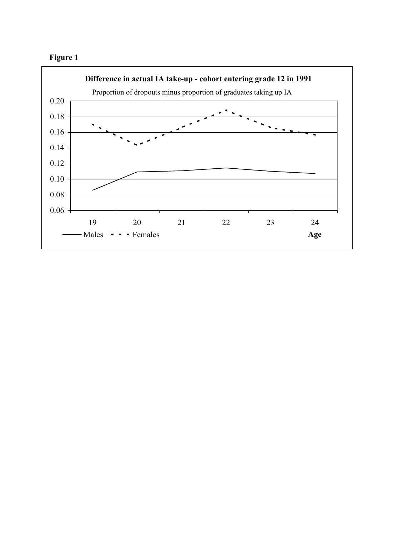

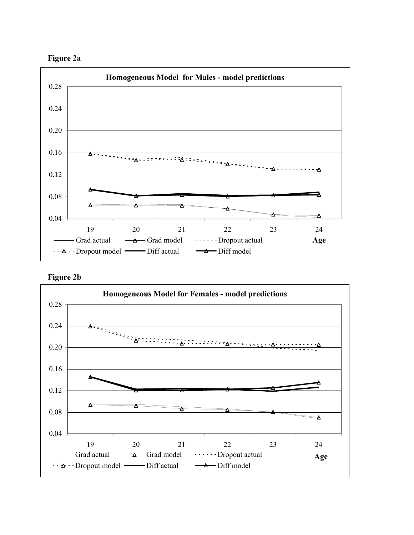



**Figure 2b**

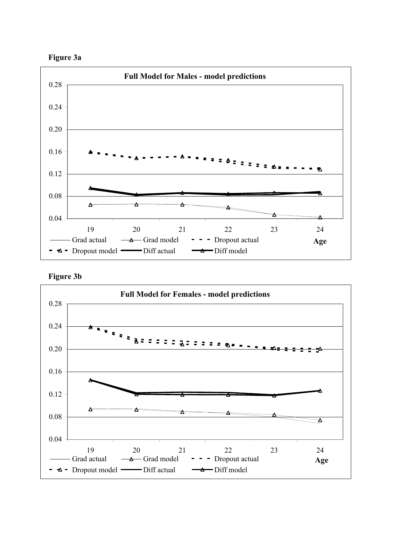



**Figure 3b**

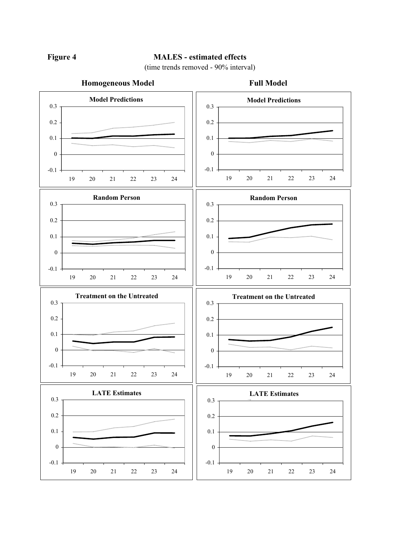# **Figure 4 MALES - estimated effects**

(time trends removed - 90% interval)

#### **Homogeneous Model Full Model Model Predictions**  $-0.1 -$ 0 0.1 0.2 0.3 19 20 21 22 23 24 **Random Person**  $-0.1 \boldsymbol{0}$ 0.1 0.2 0.3 19 20 21 22 23 24 **Treatment on the Untreated** -0.1 0 0.1 0.2 0.3 19 20 21 22 23 24 **Random Person** -0.1  $\boldsymbol{0}$ 0.1 0.2 0.3 19 20 21 22 23 24 **LATE Estimates** -0.1 0 0.1 0.2 0.3 19 20 21 22 23 24 **Model Predictions** -0.1  $\boldsymbol{0}$ 0.1 0.2 0.3 19 20 21 22 23 24 **Treatment on the Untreated**  $-0.1 -$ 0 0.1 0.2 0.3 19 20 21 22 23 24 **LATE Estimates**  $-0.1$ 0 0.1 0.2 0.3 19 20 21 22 23 24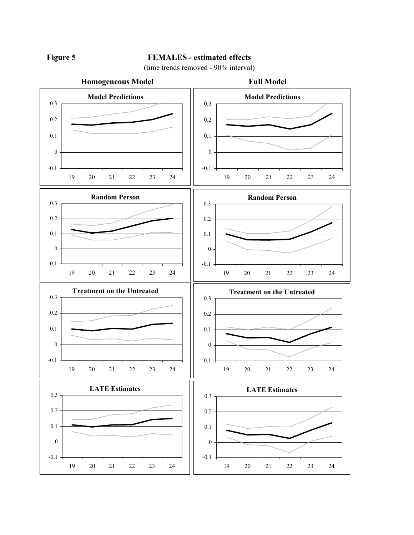

# Figure 5 **FEMALES** - estimated effects

(time trends removed - 90% interval)

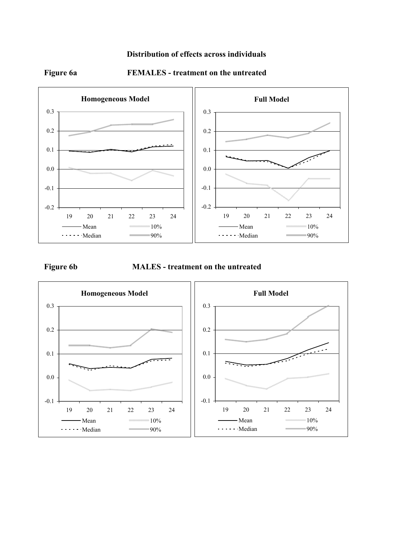# **Distribution of effects across individuals**



# **Figure 6a FEMALES - treatment on the untreated**

**Figure 6b MALES - treatment on the untreated**